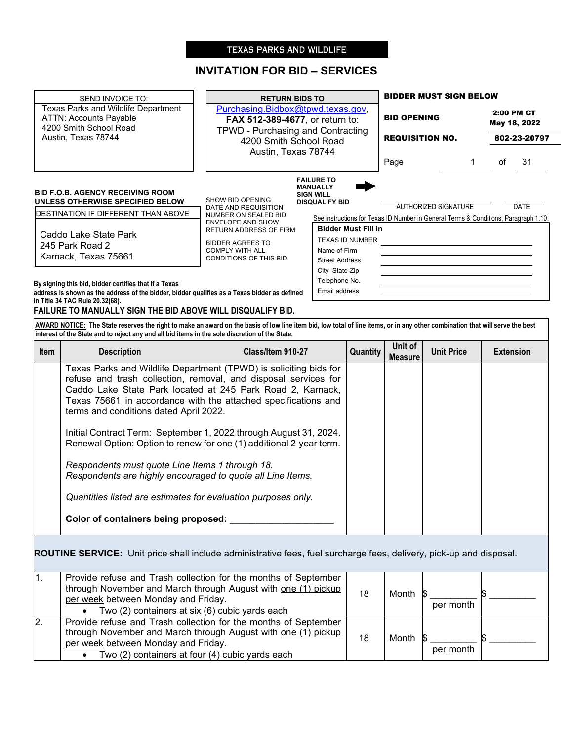# TEXAS PARKS AND WILDLIFE

# **INVITATION FOR BID – SERVICES**

| SEND INVOICE TO:                                                                                                                                                                                                                                                               | <b>RETURN BIDS TO</b>                                                                                                                      |                                                                                               | <b>BIDDER MUST SIGN BELOW</b>                |                             |                                            |             |
|--------------------------------------------------------------------------------------------------------------------------------------------------------------------------------------------------------------------------------------------------------------------------------|--------------------------------------------------------------------------------------------------------------------------------------------|-----------------------------------------------------------------------------------------------|----------------------------------------------|-----------------------------|--------------------------------------------|-------------|
| Texas Parks and Wildlife Department<br><b>ATTN: Accounts Payable</b><br>4200 Smith School Road                                                                                                                                                                                 | Purchasing.Bidbox@tpwd.texas.gov,<br><b>FAX 512-389-4677, or return to:</b><br>TPWD - Purchasing and Contracting<br>4200 Smith School Road |                                                                                               | <b>BID OPENING</b><br><b>REQUISITION NO.</b> |                             | 2:00 PM CT<br>May 18, 2022<br>802-23-20797 |             |
| Austin, Texas 78744                                                                                                                                                                                                                                                            |                                                                                                                                            |                                                                                               |                                              |                             |                                            |             |
|                                                                                                                                                                                                                                                                                |                                                                                                                                            | Austin, Texas 78744<br>Page                                                                   |                                              |                             | οf                                         | 31          |
| <b>BID F.O.B. AGENCY RECEIVING ROOM</b><br>UNLESS OTHERWISE SPECIFIED BELOW                                                                                                                                                                                                    | SHOW BID OPENING                                                                                                                           | <b>FAILURE TO</b><br><b>MANUALLY</b><br><b>SIGN WILL</b><br><b>DISQUALIFY BID</b>             |                                              | <b>AUTHORIZED SIGNATURE</b> |                                            | <b>DATE</b> |
| <b>IDESTINATION IF DIFFERENT THAN ABOVE</b>                                                                                                                                                                                                                                    | DATE AND REQUISITION<br><b>NUMBER ON SEALED BID</b>                                                                                        | See instructions for Texas ID Number in General Terms & Conditions, Paragraph 1.10.           |                                              |                             |                                            |             |
| Caddo Lake State Park<br>245 Park Road 2<br>Karnack, Texas 75661                                                                                                                                                                                                               | <b>ENVELOPE AND SHOW</b><br><b>RETURN ADDRESS OF FIRM</b><br><b>BIDDER AGREES TO</b><br><b>COMPLY WITH ALL</b><br>CONDITIONS OF THIS BID.  | <b>Bidder Must Fill in</b><br><b>TEXAS ID NUMBER</b><br>Name of Firm<br><b>Street Address</b> |                                              |                             |                                            |             |
| By signing this bid, bidder certifies that if a Texas<br>address is shown as the address of the bidder, bidder qualifies as a Texas bidder as defined<br>in Title 34 TAC Rule 20.32(68).<br>FAILURE TO MANUALLY SIGN THE BID ABOVE WILL DISQUALIFY BID.                        |                                                                                                                                            | City-State-Zip<br>Telephone No.<br>Email address                                              |                                              |                             |                                            |             |
| AWARD NOTICE: The State reserves the right to make an award on the basis of low line item bid, low total of line items, or in any other combination that will serve the best<br>linterest of the State and to reject any and all bid items in the sole discretion of the State |                                                                                                                                            |                                                                                               |                                              |                             |                                            |             |

-

|             | linterest of the State and to reject any and all bid items in the sole discretion of the State.                                                                                                                                                                 |                                                                                                                                                                                                                                                                                                                                                                                                                  |          |                           |                   |                  |
|-------------|-----------------------------------------------------------------------------------------------------------------------------------------------------------------------------------------------------------------------------------------------------------------|------------------------------------------------------------------------------------------------------------------------------------------------------------------------------------------------------------------------------------------------------------------------------------------------------------------------------------------------------------------------------------------------------------------|----------|---------------------------|-------------------|------------------|
| <b>Item</b> | <b>Description</b>                                                                                                                                                                                                                                              | Class/Item 910-27                                                                                                                                                                                                                                                                                                                                                                                                | Quantity | Unit of<br><b>Measure</b> | <b>Unit Price</b> | <b>Extension</b> |
|             | terms and conditions dated April 2022.<br>Respondents must quote Line Items 1 through 18.<br>Respondents are highly encouraged to quote all Line Items.<br>Quantities listed are estimates for evaluation purposes only.<br>Color of containers being proposed: | Texas Parks and Wildlife Department (TPWD) is soliciting bids for<br>refuse and trash collection, removal, and disposal services for<br>Caddo Lake State Park located at 245 Park Road 2, Karnack,<br>Texas 75661 in accordance with the attached specifications and<br>Initial Contract Term: September 1, 2022 through August 31, 2024.<br>Renewal Option: Option to renew for one (1) additional 2-year term. |          |                           |                   |                  |

**ROUTINE SERVICE:** Unit price shall include administrative fees, fuel surcharge fees, delivery, pick-up and disposal.

|                | Provide refuse and Trash collection for the months of September<br>through November and March through August with one (1) pickup<br>per week between Monday and Friday.<br>• Two $(2)$ containers at six $(6)$ cubic yards each  | 18 | Month \$ | per month |  |
|----------------|----------------------------------------------------------------------------------------------------------------------------------------------------------------------------------------------------------------------------------|----|----------|-----------|--|
| $\overline{2}$ | Provide refuse and Trash collection for the months of September<br>through November and March through August with one (1) pickup<br>per week between Monday and Friday.<br>• Two $(2)$ containers at four $(4)$ cubic yards each | 18 | Month \$ | per month |  |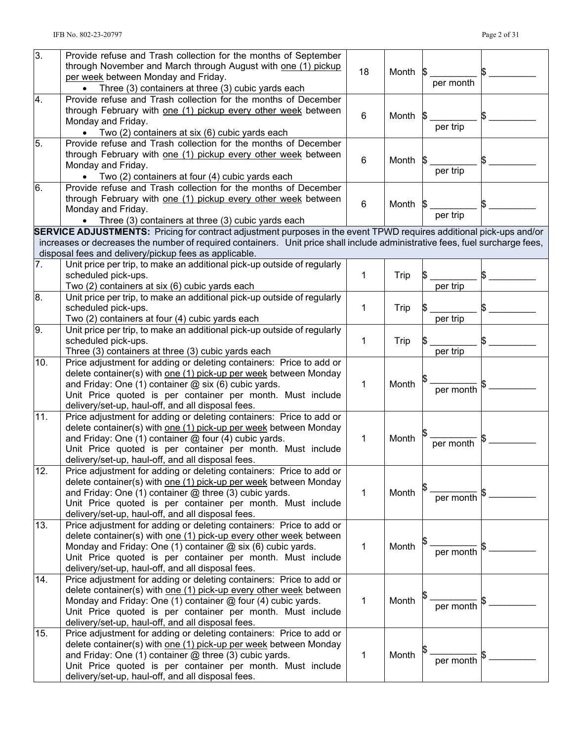| $\overline{3}$ . | Provide refuse and Trash collection for the months of September<br>through November and March through August with one (1) pickup<br>per week between Monday and Friday.<br>• Three (3) containers at three (3) cubic yards each | 18          | Month | per month |  |
|------------------|---------------------------------------------------------------------------------------------------------------------------------------------------------------------------------------------------------------------------------|-------------|-------|-----------|--|
|                  |                                                                                                                                                                                                                                 |             |       |           |  |
| 4.               | Provide refuse and Trash collection for the months of December<br>through February with one (1) pickup every other week between<br>Monday and Friday.<br>• Two (2) containers at six (6) cubic yards each                       | 6           | Month | per trip  |  |
| 5.               | Provide refuse and Trash collection for the months of December<br>through February with one (1) pickup every other week between                                                                                                 |             |       |           |  |
|                  | Monday and Friday.<br>Two (2) containers at four (4) cubic yards each                                                                                                                                                           | 6           | Month | per trip  |  |
| 6.               | Provide refuse and Trash collection for the months of December<br>through February with one (1) pickup every other week between<br>Monday and Friday.                                                                           | 6           | Month | per trip  |  |
|                  | Three (3) containers at three (3) cubic yards each                                                                                                                                                                              |             |       |           |  |
|                  | <b>SERVICE ADJUSTMENTS:</b> Pricing for contract adjustment purposes in the event TPWD requires additional pick-ups and/or                                                                                                      |             |       |           |  |
|                  | increases or decreases the number of required containers. Unit price shall include administrative fees, fuel surcharge fees,                                                                                                    |             |       |           |  |
|                  | disposal fees and delivery/pickup fees as applicable.                                                                                                                                                                           |             |       |           |  |
| 7.               | Unit price per trip, to make an additional pick-up outside of regularly                                                                                                                                                         |             |       |           |  |
|                  | scheduled pick-ups.                                                                                                                                                                                                             | 1           | Trip  |           |  |
|                  | Two (2) containers at six (6) cubic yards each                                                                                                                                                                                  |             |       | per trip  |  |
| 8.               | Unit price per trip, to make an additional pick-up outside of regularly                                                                                                                                                         |             |       |           |  |
|                  | scheduled pick-ups.                                                                                                                                                                                                             | 1           | Trip  |           |  |
|                  | Two (2) containers at four (4) cubic yards each                                                                                                                                                                                 |             |       | per trip  |  |
| 9.               | Unit price per trip, to make an additional pick-up outside of regularly                                                                                                                                                         |             |       |           |  |
|                  | scheduled pick-ups.                                                                                                                                                                                                             | 1           | Trip  |           |  |
|                  | Three (3) containers at three (3) cubic yards each                                                                                                                                                                              |             |       | per trip  |  |
| 10.              | Price adjustment for adding or deleting containers: Price to add or                                                                                                                                                             |             |       |           |  |
|                  | delete container(s) with one (1) pick-up per week between Monday<br>and Friday: One (1) container @ six (6) cubic yards.<br>Unit Price quoted is per container per month. Must include                                          | 1           | Month | per month |  |
|                  | delivery/set-up, haul-off, and all disposal fees.                                                                                                                                                                               |             |       |           |  |
| 11.              | Price adjustment for adding or deleting containers: Price to add or                                                                                                                                                             |             |       |           |  |
|                  | delete container(s) with one (1) pick-up per week between Monday                                                                                                                                                                |             |       |           |  |
|                  | and Friday: One (1) container @ four (4) cubic yards.                                                                                                                                                                           | 1           | Month | per month |  |
|                  | Unit Price quoted is per container per month. Must include                                                                                                                                                                      |             |       |           |  |
|                  | delivery/set-up, haul-off, and all disposal fees.                                                                                                                                                                               |             |       |           |  |
| 12.              | Price adjustment for adding or deleting containers: Price to add or                                                                                                                                                             |             |       |           |  |
|                  | delete container(s) with one (1) pick-up per week between Monday                                                                                                                                                                |             |       |           |  |
|                  | and Friday: One (1) container $@$ three (3) cubic yards.                                                                                                                                                                        | 1           | Month | per month |  |
|                  | Unit Price quoted is per container per month. Must include                                                                                                                                                                      |             |       |           |  |
|                  | delivery/set-up, haul-off, and all disposal fees.                                                                                                                                                                               |             |       |           |  |
| 13.              | Price adjustment for adding or deleting containers: Price to add or                                                                                                                                                             |             |       |           |  |
|                  | delete container(s) with one (1) pick-up every other week between                                                                                                                                                               |             |       |           |  |
|                  | Monday and Friday: One (1) container @ six (6) cubic yards.                                                                                                                                                                     | 1           | Month |           |  |
|                  | Unit Price quoted is per container per month. Must include                                                                                                                                                                      |             |       | per month |  |
|                  | delivery/set-up, haul-off, and all disposal fees.                                                                                                                                                                               |             |       |           |  |
| 14.              | Price adjustment for adding or deleting containers: Price to add or                                                                                                                                                             |             |       |           |  |
|                  | delete container(s) with one (1) pick-up every other week between                                                                                                                                                               |             |       |           |  |
|                  | Monday and Friday: One (1) container @ four (4) cubic yards.                                                                                                                                                                    | $\mathbf 1$ | Month |           |  |
|                  | Unit Price quoted is per container per month. Must include                                                                                                                                                                      |             |       | per month |  |
|                  |                                                                                                                                                                                                                                 |             |       |           |  |
|                  | delivery/set-up, haul-off, and all disposal fees.                                                                                                                                                                               |             |       |           |  |
| 15.              | Price adjustment for adding or deleting containers: Price to add or                                                                                                                                                             |             |       |           |  |
|                  | delete container(s) with one (1) pick-up per week between Monday                                                                                                                                                                |             |       |           |  |
|                  | and Friday: One (1) container $@$ three (3) cubic yards.                                                                                                                                                                        | 1           | Month | per month |  |
|                  | Unit Price quoted is per container per month. Must include                                                                                                                                                                      |             |       |           |  |
|                  | delivery/set-up, haul-off, and all disposal fees.                                                                                                                                                                               |             |       |           |  |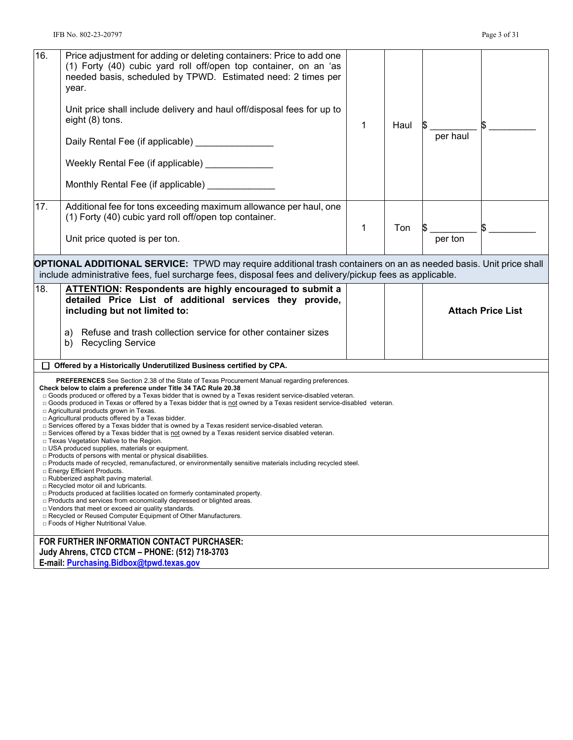| 16.                                                                                                                                                                                                                                                                                                                                                                                                                                                                                                                                                                                                                                                                                                                                                                                                                                                                                                                                                                                                                                                                                                                                                                                                                                                                                                                                                                                                                                                                    | Price adjustment for adding or deleting containers: Price to add one<br>(1) Forty (40) cubic yard roll off/open top container, on an 'as<br>needed basis, scheduled by TPWD. Estimated need: 2 times per<br>year.<br>Unit price shall include delivery and haul off/disposal fees for up to |   |      |                          |
|------------------------------------------------------------------------------------------------------------------------------------------------------------------------------------------------------------------------------------------------------------------------------------------------------------------------------------------------------------------------------------------------------------------------------------------------------------------------------------------------------------------------------------------------------------------------------------------------------------------------------------------------------------------------------------------------------------------------------------------------------------------------------------------------------------------------------------------------------------------------------------------------------------------------------------------------------------------------------------------------------------------------------------------------------------------------------------------------------------------------------------------------------------------------------------------------------------------------------------------------------------------------------------------------------------------------------------------------------------------------------------------------------------------------------------------------------------------------|---------------------------------------------------------------------------------------------------------------------------------------------------------------------------------------------------------------------------------------------------------------------------------------------|---|------|--------------------------|
|                                                                                                                                                                                                                                                                                                                                                                                                                                                                                                                                                                                                                                                                                                                                                                                                                                                                                                                                                                                                                                                                                                                                                                                                                                                                                                                                                                                                                                                                        | eight (8) tons.<br>Daily Rental Fee (if applicable) _________________                                                                                                                                                                                                                       | 1 | Haul | per haul                 |
|                                                                                                                                                                                                                                                                                                                                                                                                                                                                                                                                                                                                                                                                                                                                                                                                                                                                                                                                                                                                                                                                                                                                                                                                                                                                                                                                                                                                                                                                        | Weekly Rental Fee (if applicable) _____________                                                                                                                                                                                                                                             |   |      |                          |
|                                                                                                                                                                                                                                                                                                                                                                                                                                                                                                                                                                                                                                                                                                                                                                                                                                                                                                                                                                                                                                                                                                                                                                                                                                                                                                                                                                                                                                                                        | Monthly Rental Fee (if applicable) _________                                                                                                                                                                                                                                                |   |      |                          |
| 17.                                                                                                                                                                                                                                                                                                                                                                                                                                                                                                                                                                                                                                                                                                                                                                                                                                                                                                                                                                                                                                                                                                                                                                                                                                                                                                                                                                                                                                                                    | Additional fee for tons exceeding maximum allowance per haul, one<br>(1) Forty (40) cubic yard roll off/open top container.<br>Unit price quoted is per ton.                                                                                                                                | 1 | Ton  | per ton                  |
|                                                                                                                                                                                                                                                                                                                                                                                                                                                                                                                                                                                                                                                                                                                                                                                                                                                                                                                                                                                                                                                                                                                                                                                                                                                                                                                                                                                                                                                                        |                                                                                                                                                                                                                                                                                             |   |      |                          |
|                                                                                                                                                                                                                                                                                                                                                                                                                                                                                                                                                                                                                                                                                                                                                                                                                                                                                                                                                                                                                                                                                                                                                                                                                                                                                                                                                                                                                                                                        | <b>OPTIONAL ADDITIONAL SERVICE:</b> TPWD may require additional trash containers on an as needed basis. Unit price shall<br>include administrative fees, fuel surcharge fees, disposal fees and delivery/pickup fees as applicable.                                                         |   |      |                          |
| 18.                                                                                                                                                                                                                                                                                                                                                                                                                                                                                                                                                                                                                                                                                                                                                                                                                                                                                                                                                                                                                                                                                                                                                                                                                                                                                                                                                                                                                                                                    | <b>ATTENTION: Respondents are highly encouraged to submit a</b><br>detailed Price List of additional services they provide,<br>including but not limited to:                                                                                                                                |   |      | <b>Attach Price List</b> |
|                                                                                                                                                                                                                                                                                                                                                                                                                                                                                                                                                                                                                                                                                                                                                                                                                                                                                                                                                                                                                                                                                                                                                                                                                                                                                                                                                                                                                                                                        | Refuse and trash collection service for other container sizes<br>a)<br><b>Recycling Service</b><br>b)                                                                                                                                                                                       |   |      |                          |
|                                                                                                                                                                                                                                                                                                                                                                                                                                                                                                                                                                                                                                                                                                                                                                                                                                                                                                                                                                                                                                                                                                                                                                                                                                                                                                                                                                                                                                                                        | Offered by a Historically Underutilized Business certified by CPA.                                                                                                                                                                                                                          |   |      |                          |
| <b>PREFERENCES</b> See Section 2.38 of the State of Texas Procurement Manual regarding preferences.<br>Check below to claim a preference under Title 34 TAC Rule 20.38<br>□ Goods produced or offered by a Texas bidder that is owned by a Texas resident service-disabled veteran.<br>□ Goods produced in Texas or offered by a Texas bidder that is not owned by a Texas resident service-disabled veteran.<br>□ Agricultural products grown in Texas.<br>□ Agricultural products offered by a Texas bidder.<br>□ Services offered by a Texas bidder that is owned by a Texas resident service-disabled veteran.<br>□ Services offered by a Texas bidder that is not owned by a Texas resident service disabled veteran.<br>□ Texas Vegetation Native to the Region.<br>□ USA produced supplies, materials or equipment.<br>□ Products of persons with mental or physical disabilities.<br>□ Products made of recycled, remanufactured, or environmentally sensitive materials including recycled steel<br>□ Energy Efficient Products.<br>$\Box$ Rubberized asphalt paving material.<br>□ Recycled motor oil and lubricants.<br>$\Box$ Products produced at facilities located on formerly contaminated property.<br>□ Products and services from economically depressed or blighted areas.<br>$\Box$ Vendors that meet or exceed air quality standards.<br>□ Recycled or Reused Computer Equipment of Other Manufacturers.<br>□ Foods of Higher Nutritional Value. |                                                                                                                                                                                                                                                                                             |   |      |                          |
|                                                                                                                                                                                                                                                                                                                                                                                                                                                                                                                                                                                                                                                                                                                                                                                                                                                                                                                                                                                                                                                                                                                                                                                                                                                                                                                                                                                                                                                                        |                                                                                                                                                                                                                                                                                             |   |      |                          |
|                                                                                                                                                                                                                                                                                                                                                                                                                                                                                                                                                                                                                                                                                                                                                                                                                                                                                                                                                                                                                                                                                                                                                                                                                                                                                                                                                                                                                                                                        | FOR FURTHER INFORMATION CONTACT PURCHASER:                                                                                                                                                                                                                                                  |   |      |                          |
|                                                                                                                                                                                                                                                                                                                                                                                                                                                                                                                                                                                                                                                                                                                                                                                                                                                                                                                                                                                                                                                                                                                                                                                                                                                                                                                                                                                                                                                                        | Judy Ahrens, CTCD CTCM - PHONE: (512) 718-3703<br>E-mail: Purchasing.Bidbox@tpwd.texas.gov                                                                                                                                                                                                  |   |      |                          |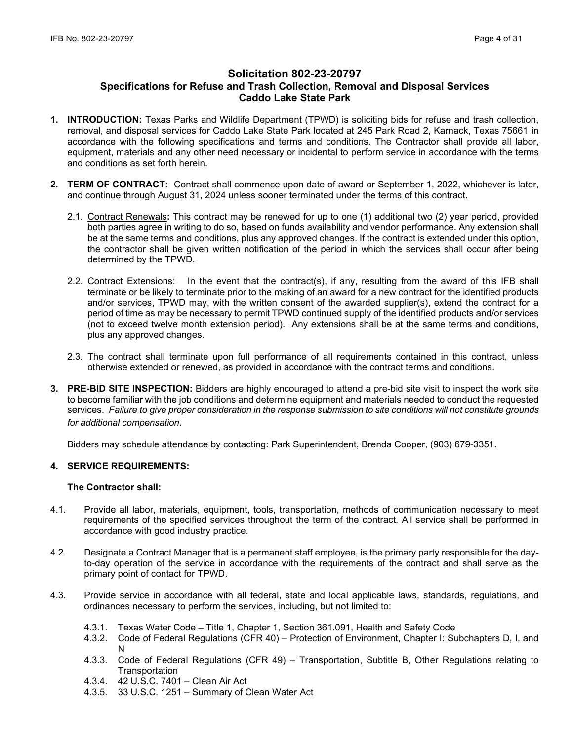# **Solicitation 802-23-20797 Specifications for Refuse and Trash Collection, Removal and Disposal Services Caddo Lake State Park**

- **1. INTRODUCTION:** Texas Parks and Wildlife Department (TPWD) is soliciting bids for refuse and trash collection, removal, and disposal services for Caddo Lake State Park located at 245 Park Road 2, Karnack, Texas 75661 in accordance with the following specifications and terms and conditions. The Contractor shall provide all labor, equipment, materials and any other need necessary or incidental to perform service in accordance with the terms and conditions as set forth herein.
- **2. TERM OF CONTRACT:** Contract shall commence upon date of award or September 1, 2022, whichever is later, and continue through August 31, 2024 unless sooner terminated under the terms of this contract.
	- 2.1. Contract Renewals**:** This contract may be renewed for up to one (1) additional two (2) year period, provided both parties agree in writing to do so, based on funds availability and vendor performance. Any extension shall be at the same terms and conditions, plus any approved changes. If the contract is extended under this option, the contractor shall be given written notification of the period in which the services shall occur after being determined by the TPWD.
	- 2.2. Contract Extensions: In the event that the contract(s), if any, resulting from the award of this IFB shall terminate or be likely to terminate prior to the making of an award for a new contract for the identified products and/or services, TPWD may, with the written consent of the awarded supplier(s), extend the contract for a period of time as may be necessary to permit TPWD continued supply of the identified products and/or services (not to exceed twelve month extension period). Any extensions shall be at the same terms and conditions, plus any approved changes.
	- 2.3. The contract shall terminate upon full performance of all requirements contained in this contract, unless otherwise extended or renewed, as provided in accordance with the contract terms and conditions.
- **3. PRE-BID SITE INSPECTION:** Bidders are highly encouraged to attend a pre-bid site visit to inspect the work site to become familiar with the job conditions and determine equipment and materials needed to conduct the requested services. *Failure to give proper consideration in the response submission to site conditions will not constitute grounds for additional compensation.*

Bidders may schedule attendance by contacting: Park Superintendent, Brenda Cooper, (903) 679-3351.

## **4. SERVICE REQUIREMENTS:**

### **The Contractor shall:**

- 4.1. Provide all labor, materials, equipment, tools, transportation, methods of communication necessary to meet requirements of the specified services throughout the term of the contract. All service shall be performed in accordance with good industry practice.
- 4.2. Designate a Contract Manager that is a permanent staff employee, is the primary party responsible for the dayto-day operation of the service in accordance with the requirements of the contract and shall serve as the primary point of contact for TPWD.
- 4.3. Provide service in accordance with all federal, state and local applicable laws, standards, regulations, and ordinances necessary to perform the services, including, but not limited to:
	- 4.3.1. Texas Water Code Title 1, Chapter 1, Section 361.091, Health and Safety Code
	- 4.3.2. Code of Federal Regulations (CFR 40) Protection of Environment, Chapter I: Subchapters D, I, and N
	- 4.3.3. Code of Federal Regulations (CFR 49) Transportation, Subtitle B, Other Regulations relating to **Transportation**
	- 4.3.4. 42 U.S.C. 7401 Clean Air Act
	- 4.3.5. 33 U.S.C. 1251 Summary of Clean Water Act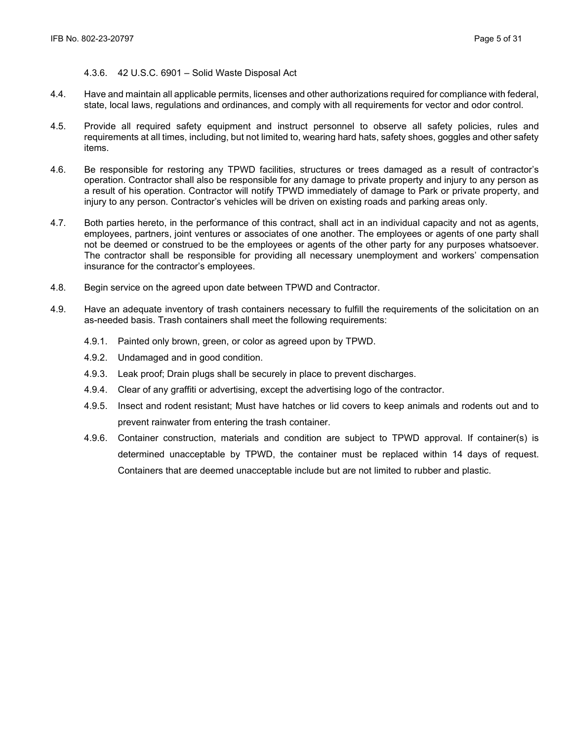### 4.3.6. 42 U.S.C. 6901 – Solid Waste Disposal Act

- 4.4. Have and maintain all applicable permits, licenses and other authorizations required for compliance with federal, state, local laws, regulations and ordinances, and comply with all requirements for vector and odor control.
- 4.5. Provide all required safety equipment and instruct personnel to observe all safety policies, rules and requirements at all times, including, but not limited to, wearing hard hats, safety shoes, goggles and other safety items.
- 4.6. Be responsible for restoring any TPWD facilities, structures or trees damaged as a result of contractor's operation. Contractor shall also be responsible for any damage to private property and injury to any person as a result of his operation. Contractor will notify TPWD immediately of damage to Park or private property, and injury to any person. Contractor's vehicles will be driven on existing roads and parking areas only.
- 4.7. Both parties hereto, in the performance of this contract, shall act in an individual capacity and not as agents, employees, partners, joint ventures or associates of one another. The employees or agents of one party shall not be deemed or construed to be the employees or agents of the other party for any purposes whatsoever. The contractor shall be responsible for providing all necessary unemployment and workers' compensation insurance for the contractor's employees.
- 4.8. Begin service on the agreed upon date between TPWD and Contractor.
- 4.9. Have an adequate inventory of trash containers necessary to fulfill the requirements of the solicitation on an as-needed basis. Trash containers shall meet the following requirements:
	- 4.9.1. Painted only brown, green, or color as agreed upon by TPWD.
	- 4.9.2. Undamaged and in good condition.
	- 4.9.3. Leak proof; Drain plugs shall be securely in place to prevent discharges.
	- 4.9.4. Clear of any graffiti or advertising, except the advertising logo of the contractor.
	- 4.9.5. Insect and rodent resistant; Must have hatches or lid covers to keep animals and rodents out and to prevent rainwater from entering the trash container.
	- 4.9.6. Container construction, materials and condition are subject to TPWD approval. If container(s) is determined unacceptable by TPWD, the container must be replaced within 14 days of request. Containers that are deemed unacceptable include but are not limited to rubber and plastic.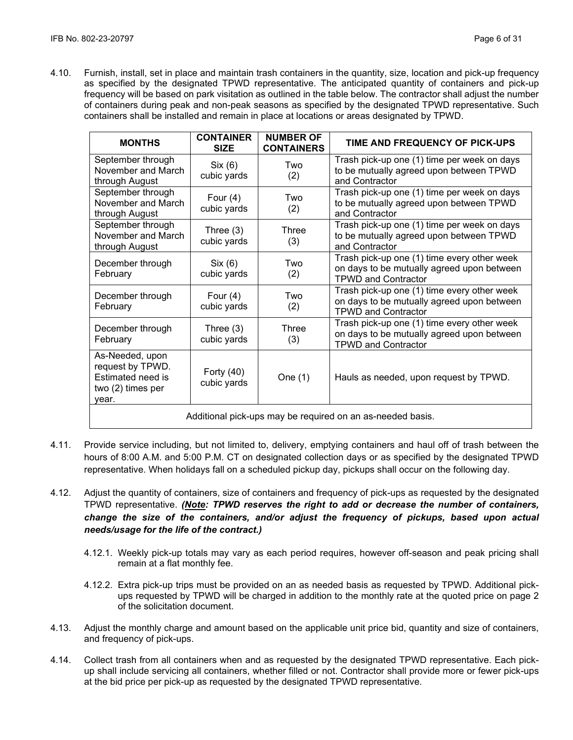4.10. Furnish, install, set in place and maintain trash containers in the quantity, size, location and pick-up frequency as specified by the designated TPWD representative. The anticipated quantity of containers and pick-up frequency will be based on park visitation as outlined in the table below. The contractor shall adjust the number of containers during peak and non-peak seasons as specified by the designated TPWD representative. Such containers shall be installed and remain in place at locations or areas designated by TPWD.

| <b>MONTHS</b>                                                                          | <b>CONTAINER</b><br><b>SIZE</b> | <b>NUMBER OF</b><br><b>CONTAINERS</b> | TIME AND FREQUENCY OF PICK-UPS                                                                                          |  |
|----------------------------------------------------------------------------------------|---------------------------------|---------------------------------------|-------------------------------------------------------------------------------------------------------------------------|--|
| September through<br>November and March<br>through August                              | Six (6)<br>cubic yards          | Two<br>(2)                            | Trash pick-up one (1) time per week on days<br>to be mutually agreed upon between TPWD<br>and Contractor                |  |
| September through<br>November and March<br>through August                              | Four $(4)$<br>cubic yards       | Two<br>(2)                            | Trash pick-up one (1) time per week on days<br>to be mutually agreed upon between TPWD<br>and Contractor                |  |
| September through<br>November and March<br>through August                              | Three $(3)$<br>cubic yards      | Three<br>(3)                          | Trash pick-up one (1) time per week on days<br>to be mutually agreed upon between TPWD<br>and Contractor                |  |
| December through<br>February                                                           | Six (6)<br>cubic yards          | Two<br>(2)                            | Trash pick-up one (1) time every other week<br>on days to be mutually agreed upon between<br><b>TPWD and Contractor</b> |  |
| December through<br>February                                                           | Four $(4)$<br>cubic yards       | Two<br>(2)                            | Trash pick-up one (1) time every other week<br>on days to be mutually agreed upon between<br><b>TPWD and Contractor</b> |  |
| December through<br>February                                                           | Three $(3)$<br>cubic yards      | Three<br>(3)                          | Trash pick-up one (1) time every other week<br>on days to be mutually agreed upon between<br><b>TPWD and Contractor</b> |  |
| As-Needed, upon<br>request by TPWD.<br>Estimated need is<br>two (2) times per<br>vear. | Forty $(40)$<br>cubic yards     | One $(1)$                             | Hauls as needed, upon request by TPWD.                                                                                  |  |
| Additional pick-ups may be required on an as-needed basis.                             |                                 |                                       |                                                                                                                         |  |

- 4.11. Provide service including, but not limited to, delivery, emptying containers and haul off of trash between the hours of 8:00 A.M. and 5:00 P.M. CT on designated collection days or as specified by the designated TPWD representative. When holidays fall on a scheduled pickup day, pickups shall occur on the following day.
- 4.12. Adjust the quantity of containers, size of containers and frequency of pick-ups as requested by the designated TPWD representative. *(Note: TPWD reserves the right to add or decrease the number of containers, change the size of the containers, and/or adjust the frequency of pickups, based upon actual needs/usage for the life of the contract.)*
	- 4.12.1. Weekly pick-up totals may vary as each period requires, however off-season and peak pricing shall remain at a flat monthly fee.
	- 4.12.2. Extra pick-up trips must be provided on an as needed basis as requested by TPWD. Additional pickups requested by TPWD will be charged in addition to the monthly rate at the quoted price on page 2 of the solicitation document.
- 4.13. Adjust the monthly charge and amount based on the applicable unit price bid, quantity and size of containers, and frequency of pick-ups.
- 4.14. Collect trash from all containers when and as requested by the designated TPWD representative. Each pickup shall include servicing all containers, whether filled or not. Contractor shall provide more or fewer pick-ups at the bid price per pick-up as requested by the designated TPWD representative.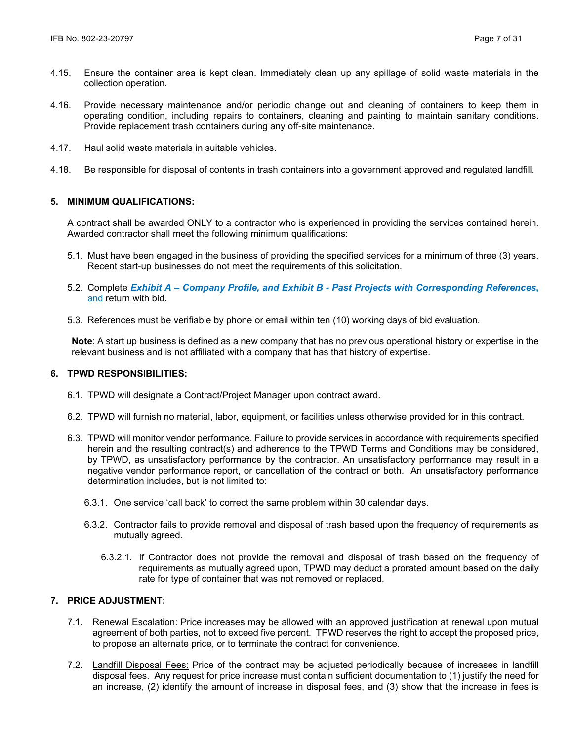- 4.15. Ensure the container area is kept clean. Immediately clean up any spillage of solid waste materials in the collection operation.
- 4.16. Provide necessary maintenance and/or periodic change out and cleaning of containers to keep them in operating condition, including repairs to containers, cleaning and painting to maintain sanitary conditions. Provide replacement trash containers during any off-site maintenance.
- 4.17. Haul solid waste materials in suitable vehicles.
- 4.18. Be responsible for disposal of contents in trash containers into a government approved and regulated landfill.

## **5. MINIMUM QUALIFICATIONS:**

A contract shall be awarded ONLY to a contractor who is experienced in providing the services contained herein. Awarded contractor shall meet the following minimum qualifications:

- 5.1. Must have been engaged in the business of providing the specified services for a minimum of three (3) years. Recent start-up businesses do not meet the requirements of this solicitation.
- 5.2. Complete *Exhibit A Company Profile, and Exhibit B Past Projects with Corresponding References***,**  and return with bid.
- 5.3. References must be verifiable by phone or email within ten (10) working days of bid evaluation.

**Note**: A start up business is defined as a new company that has no previous operational history or expertise in the relevant business and is not affiliated with a company that has that history of expertise.

#### **6. TPWD RESPONSIBILITIES:**

- 6.1. TPWD will designate a Contract/Project Manager upon contract award.
- 6.2. TPWD will furnish no material, labor, equipment, or facilities unless otherwise provided for in this contract.
- 6.3. TPWD will monitor vendor performance. Failure to provide services in accordance with requirements specified herein and the resulting contract(s) and adherence to the TPWD Terms and Conditions may be considered. by TPWD, as unsatisfactory performance by the contractor. An unsatisfactory performance may result in a negative vendor performance report, or cancellation of the contract or both. An unsatisfactory performance determination includes, but is not limited to:
	- 6.3.1. One service 'call back' to correct the same problem within 30 calendar days.
	- 6.3.2. Contractor fails to provide removal and disposal of trash based upon the frequency of requirements as mutually agreed.
		- 6.3.2.1. If Contractor does not provide the removal and disposal of trash based on the frequency of requirements as mutually agreed upon, TPWD may deduct a prorated amount based on the daily rate for type of container that was not removed or replaced.

# **7. PRICE ADJUSTMENT:**

- 7.1. Renewal Escalation: Price increases may be allowed with an approved justification at renewal upon mutual agreement of both parties, not to exceed five percent. TPWD reserves the right to accept the proposed price, to propose an alternate price, or to terminate the contract for convenience.
- 7.2. Landfill Disposal Fees: Price of the contract may be adjusted periodically because of increases in landfill disposal fees. Any request for price increase must contain sufficient documentation to (1) justify the need for an increase, (2) identify the amount of increase in disposal fees, and (3) show that the increase in fees is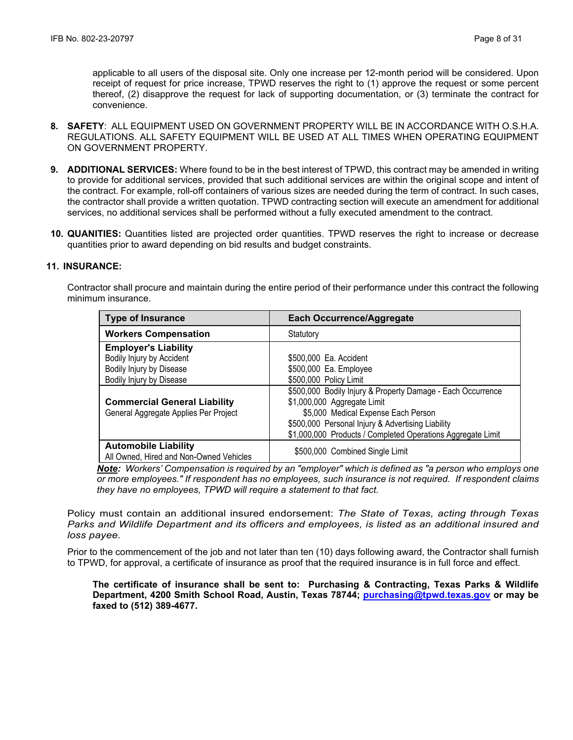applicable to all users of the disposal site. Only one increase per 12-month period will be considered. Upon receipt of request for price increase, TPWD reserves the right to (1) approve the request or some percent thereof, (2) disapprove the request for lack of supporting documentation, or (3) terminate the contract for convenience.

- **8. SAFETY**: ALL EQUIPMENT USED ON GOVERNMENT PROPERTY WILL BE IN ACCORDANCE WITH O.S.H.A. REGULATIONS. ALL SAFETY EQUIPMENT WILL BE USED AT ALL TIMES WHEN OPERATING EQUIPMENT ON GOVERNMENT PROPERTY.
- **9. ADDITIONAL SERVICES:** Where found to be in the best interest of TPWD, this contract may be amended in writing to provide for additional services, provided that such additional services are within the original scope and intent of the contract. For example, roll-off containers of various sizes are needed during the term of contract. In such cases, the contractor shall provide a written quotation. TPWD contracting section will execute an amendment for additional services, no additional services shall be performed without a fully executed amendment to the contract.
- **10. QUANITIES:** Quantities listed are projected order quantities. TPWD reserves the right to increase or decrease quantities prior to award depending on bid results and budget constraints.

## **11. INSURANCE:**

Contractor shall procure and maintain during the entire period of their performance under this contract the following minimum insurance.

| <b>Type of Insurance</b>                                                                                         | <b>Each Occurrence/Aggregate</b>                                                                                                                                                                                                                      |
|------------------------------------------------------------------------------------------------------------------|-------------------------------------------------------------------------------------------------------------------------------------------------------------------------------------------------------------------------------------------------------|
| <b>Workers Compensation</b>                                                                                      | Statutory                                                                                                                                                                                                                                             |
| <b>Employer's Liability</b><br>Bodily Injury by Accident<br>Bodily Injury by Disease<br>Bodily Injury by Disease | \$500,000 Ea. Accident<br>\$500,000 Ea. Employee<br>\$500,000 Policy Limit                                                                                                                                                                            |
| <b>Commercial General Liability</b><br>General Aggregate Applies Per Project                                     | \$500,000 Bodily Injury & Property Damage - Each Occurrence<br>\$1,000,000 Aggregate Limit<br>\$5,000 Medical Expense Each Person<br>\$500,000 Personal Injury & Advertising Liability<br>\$1,000,000 Products / Completed Operations Aggregate Limit |
| <b>Automobile Liability</b><br>All Owned, Hired and Non-Owned Vehicles                                           | \$500,000 Combined Single Limit                                                                                                                                                                                                                       |

*Note: Workers' Compensation is required by an "employer" which is defined as "a person who employs one or more employees." If respondent has no employees, such insurance is not required. If respondent claims they have no employees, TPWD will require a statement to that fact.*

Policy must contain an additional insured endorsement: *The State of Texas, acting through Texas Parks and Wildlife Department and its officers and employees, is listed as an additional insured and loss payee.*

Prior to the commencement of the job and not later than ten (10) days following award, the Contractor shall furnish to TPWD, for approval, a certificate of insurance as proof that the required insurance is in full force and effect.

**The certificate of insurance shall be sent to: Purchasing & Contracting, Texas Parks & Wildlife Department, 4200 Smith School Road, Austin, Texas 78744; [purchasing@tpwd.texas.gov](mailto:purchasing@tpwd.texas.gov) or may be faxed to (512) 389-4677.**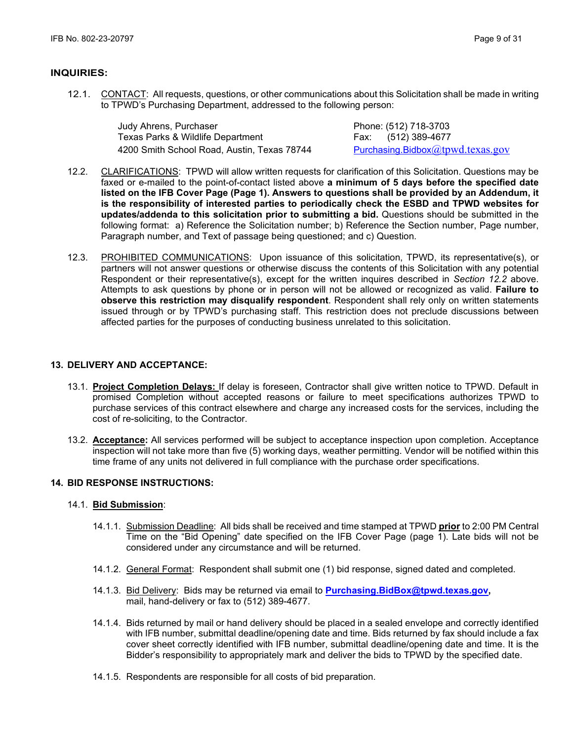### **INQUIRIES:**

12.1. CONTACT: All requests, questions, or other communications about this Solicitation shall be made in writing to TPWD's Purchasing Department, addressed to the following person:

| Judy Ahrens, Purchaser                      |
|---------------------------------------------|
| Texas Parks & Wildlife Department           |
| 4200 Smith School Road, Austin, Texas 78744 |

Phone: (512) 718-3703 Fax: (512) 389-4677 Purchasing. Bidbox $@$ tpwd.texas.gov

- 12.2. CLARIFICATIONS: TPWD will allow written requests for clarification of this Solicitation. Questions may be faxed or e-mailed to the point-of-contact listed above **a minimum of 5 days before the specified date listed on the IFB Cover Page (Page 1). Answers to questions shall be provided by an Addendum, it is the responsibility of interested parties to periodically check the ESBD and TPWD websites for updates/addenda to this solicitation prior to submitting a bid.** Questions should be submitted in the following format: a) Reference the Solicitation number; b) Reference the Section number, Page number, Paragraph number, and Text of passage being questioned; and c) Question.
- 12.3. PROHIBITED COMMUNICATIONS: Upon issuance of this solicitation, TPWD, its representative(s), or partners will not answer questions or otherwise discuss the contents of this Solicitation with any potential Respondent or their representative(s), except for the written inquires described in *Section 12.2* above. Attempts to ask questions by phone or in person will not be allowed or recognized as valid. **Failure to observe this restriction may disqualify respondent**. Respondent shall rely only on written statements issued through or by TPWD's purchasing staff. This restriction does not preclude discussions between affected parties for the purposes of conducting business unrelated to this solicitation.

## **13. DELIVERY AND ACCEPTANCE:**

- 13.1. **Project Completion Delays:** If delay is foreseen, Contractor shall give written notice to TPWD. Default in promised Completion without accepted reasons or failure to meet specifications authorizes TPWD to purchase services of this contract elsewhere and charge any increased costs for the services, including the cost of re-soliciting, to the Contractor.
- 13.2. **Acceptance:** All services performed will be subject to acceptance inspection upon completion. Acceptance inspection will not take more than five (5) working days, weather permitting. Vendor will be notified within this time frame of any units not delivered in full compliance with the purchase order specifications.

## **14. BID RESPONSE INSTRUCTIONS:**

### 14.1. **Bid Submission**:

- 14.1.1. Submission Deadline: All bids shall be received and time stamped at TPWD **prior** to 2:00 PM Central Time on the "Bid Opening" date specified on the IFB Cover Page (page 1). Late bids will not be considered under any circumstance and will be returned.
- 14.1.2. General Format: Respondent shall submit one (1) bid response, signed dated and completed.
- 14.1.3. Bid Delivery: Bids may be returned via email to **[Purchasing.BidBox@tpwd.texas.gov,](mailto:Purchasing.BidBox@tpwd.texas.gov)**  mail, hand-delivery or fax to (512) 389-4677.
- 14.1.4. Bids returned by mail or hand delivery should be placed in a sealed envelope and correctly identified with IFB number, submittal deadline/opening date and time. Bids returned by fax should include a fax cover sheet correctly identified with IFB number, submittal deadline/opening date and time. It is the Bidder's responsibility to appropriately mark and deliver the bids to TPWD by the specified date.
- 14.1.5. Respondents are responsible for all costs of bid preparation.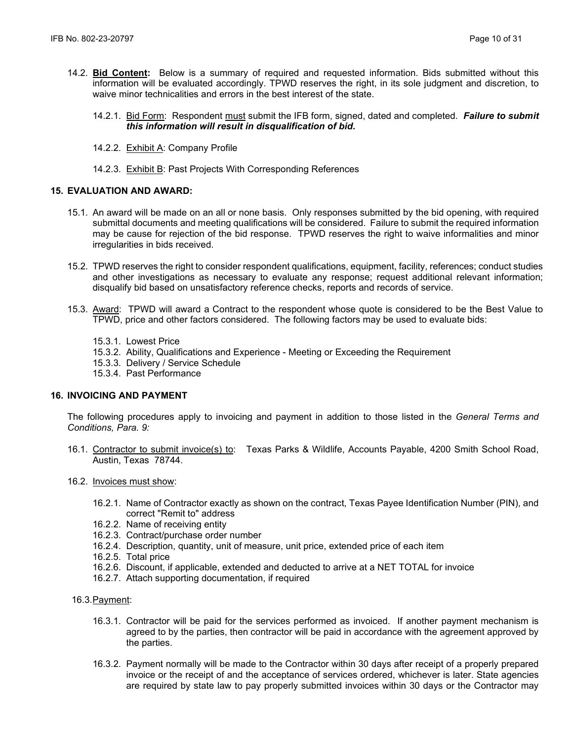- 14.2. **Bid Content:** Below is a summary of required and requested information. Bids submitted without this information will be evaluated accordingly. TPWD reserves the right, in its sole judgment and discretion, to waive minor technicalities and errors in the best interest of the state.
	- 14.2.1. Bid Form: Respondent must submit the IFB form, signed, dated and completed. *Failure to submit this information will result in disqualification of bid.*
	- 14.2.2. Exhibit A: Company Profile
	- 14.2.3. Exhibit B: Past Projects With Corresponding References

## **15. EVALUATION AND AWARD:**

- 15.1. An award will be made on an all or none basis. Only responses submitted by the bid opening, with required submittal documents and meeting qualifications will be considered. Failure to submit the required information may be cause for rejection of the bid response. TPWD reserves the right to waive informalities and minor irregularities in bids received.
- 15.2. TPWD reserves the right to consider respondent qualifications, equipment, facility, references; conduct studies and other investigations as necessary to evaluate any response; request additional relevant information; disqualify bid based on unsatisfactory reference checks, reports and records of service.
- 15.3. Award: TPWD will award a Contract to the respondent whose quote is considered to be the Best Value to TPWD, price and other factors considered. The following factors may be used to evaluate bids:
	- 15.3.1. Lowest Price
	- 15.3.2. Ability, Qualifications and Experience Meeting or Exceeding the Requirement
	- 15.3.3. Delivery / Service Schedule
	- 15.3.4. Past Performance

## **16. INVOICING AND PAYMENT**

The following procedures apply to invoicing and payment in addition to those listed in the *General Terms and Conditions, Para. 9:*

- 16.1. Contractor to submit invoice(s) to: Texas Parks & Wildlife, Accounts Payable, 4200 Smith School Road, Austin, Texas 78744.
- 16.2. Invoices must show:
	- 16.2.1. Name of Contractor exactly as shown on the contract, Texas Payee Identification Number (PIN), and correct "Remit to" address
	- 16.2.2. Name of receiving entity
	- 16.2.3. Contract/purchase order number
	- 16.2.4. Description, quantity, unit of measure, unit price, extended price of each item
	- 16.2.5. Total price
	- 16.2.6. Discount, if applicable, extended and deducted to arrive at a NET TOTAL for invoice
	- 16.2.7. Attach supporting documentation, if required
- 16.3.Payment:
	- 16.3.1. Contractor will be paid for the services performed as invoiced. If another payment mechanism is agreed to by the parties, then contractor will be paid in accordance with the agreement approved by the parties.
	- 16.3.2. Payment normally will be made to the Contractor within 30 days after receipt of a properly prepared invoice or the receipt of and the acceptance of services ordered, whichever is later. State agencies are required by state law to pay properly submitted invoices within 30 days or the Contractor may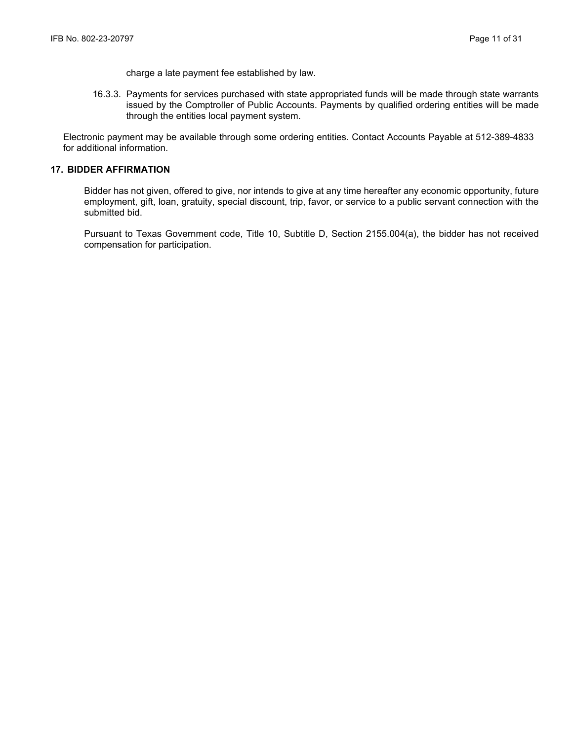charge a late payment fee established by law.

16.3.3. Payments for services purchased with state appropriated funds will be made through state warrants issued by the Comptroller of Public Accounts. Payments by qualified ordering entities will be made through the entities local payment system.

Electronic payment may be available through some ordering entities. Contact Accounts Payable at 512-389-4833 for additional information.

## **17. BIDDER AFFIRMATION**

Bidder has not given, offered to give, nor intends to give at any time hereafter any economic opportunity, future employment, gift, loan, gratuity, special discount, trip, favor, or service to a public servant connection with the submitted bid.

Pursuant to Texas Government code, Title 10, Subtitle D, Section 2155.004(a), the bidder has not received compensation for participation.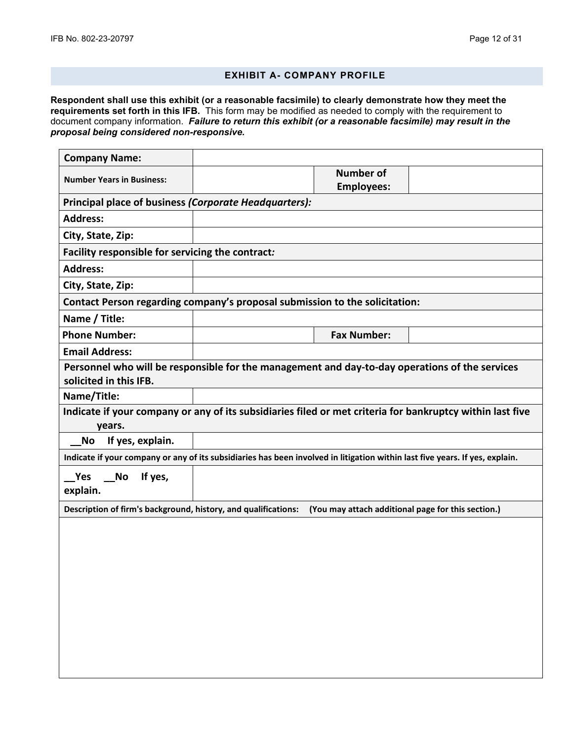# **EXHIBIT A- COMPANY PROFILE**

**Respondent shall use this exhibit (or a reasonable facsimile) to clearly demonstrate how they meet the requirements set forth in this IFB.** This form may be modified as needed to comply with the requirement to document company information. *Failure to return this exhibit (or a reasonable facsimile) may result in the proposal being considered non-responsive.*

| <b>Company Name:</b>                                                                                                         |                                                                                                |                                                    |  |  |
|------------------------------------------------------------------------------------------------------------------------------|------------------------------------------------------------------------------------------------|----------------------------------------------------|--|--|
| <b>Number Years in Business:</b>                                                                                             |                                                                                                | <b>Number of</b><br><b>Employees:</b>              |  |  |
| Principal place of business (Corporate Headquarters):                                                                        |                                                                                                |                                                    |  |  |
| <b>Address:</b>                                                                                                              |                                                                                                |                                                    |  |  |
| City, State, Zip:                                                                                                            |                                                                                                |                                                    |  |  |
| Facility responsible for servicing the contract:                                                                             |                                                                                                |                                                    |  |  |
| <b>Address:</b>                                                                                                              |                                                                                                |                                                    |  |  |
| City, State, Zip:                                                                                                            |                                                                                                |                                                    |  |  |
| Contact Person regarding company's proposal submission to the solicitation:                                                  |                                                                                                |                                                    |  |  |
| Name / Title:                                                                                                                |                                                                                                |                                                    |  |  |
| <b>Phone Number:</b>                                                                                                         |                                                                                                | <b>Fax Number:</b>                                 |  |  |
| <b>Email Address:</b>                                                                                                        |                                                                                                |                                                    |  |  |
| solicited in this IFB.                                                                                                       | Personnel who will be responsible for the management and day-to-day operations of the services |                                                    |  |  |
| Name/Title:                                                                                                                  |                                                                                                |                                                    |  |  |
| Indicate if your company or any of its subsidiaries filed or met criteria for bankruptcy within last five<br>years.          |                                                                                                |                                                    |  |  |
| If yes, explain.<br><b>No</b>                                                                                                |                                                                                                |                                                    |  |  |
| Indicate if your company or any of its subsidiaries has been involved in litigation within last five years. If yes, explain. |                                                                                                |                                                    |  |  |
| Yes<br>If yes,<br>No<br>explain.                                                                                             |                                                                                                |                                                    |  |  |
| Description of firm's background, history, and qualifications:                                                               |                                                                                                | (You may attach additional page for this section.) |  |  |
|                                                                                                                              |                                                                                                |                                                    |  |  |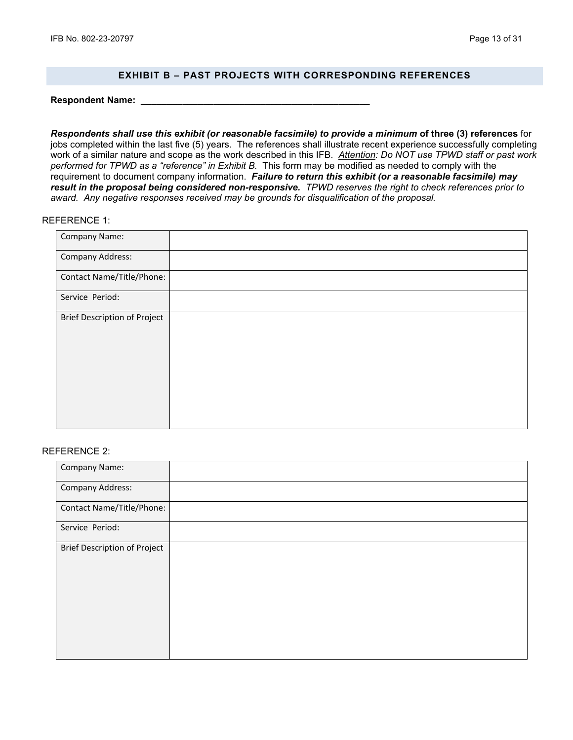## **EXHIBIT B – PAST PROJECTS WITH CORRESPONDING REFERENCES**

**Respondent Name: \_\_\_\_\_\_\_\_\_\_\_\_\_\_\_\_\_\_\_\_\_\_\_\_\_\_\_\_\_\_\_\_\_\_\_\_\_\_\_\_\_\_\_\_**

*Respondents shall use this exhibit (or reasonable facsimile) to provide a minimum* **of three (3) references** for jobs completed within the last five (5) years. The references shall illustrate recent experience successfully completing work of a similar nature and scope as the work described in this IFB. *Attention: Do NOT use TPWD staff or past work performed for TPWD as a "reference" in Exhibit B.* This form may be modified as needed to comply with the requirement to document company information. *Failure to return this exhibit (or a reasonable facsimile) may result in the proposal being considered non-responsive. TPWD reserves the right to check references prior to award. Any negative responses received may be grounds for disqualification of the proposal.*

#### REFERENCE 1:

| Company Name:                |  |
|------------------------------|--|
| Company Address:             |  |
| Contact Name/Title/Phone:    |  |
| Service Period:              |  |
| Brief Description of Project |  |
|                              |  |
|                              |  |
|                              |  |

#### REFERENCE 2:

| Company Name:                       |  |
|-------------------------------------|--|
| <b>Company Address:</b>             |  |
| Contact Name/Title/Phone:           |  |
| Service Period:                     |  |
| <b>Brief Description of Project</b> |  |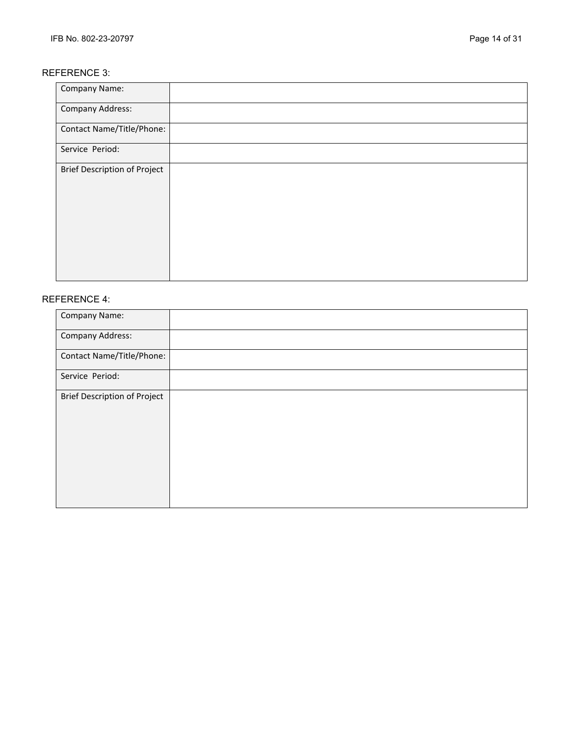## REFERENCE 3:

| Company Name:                       |  |
|-------------------------------------|--|
| <b>Company Address:</b>             |  |
| Contact Name/Title/Phone:           |  |
| Service Period:                     |  |
| <b>Brief Description of Project</b> |  |

# REFERENCE 4:

| Company Name:                       |  |
|-------------------------------------|--|
| <b>Company Address:</b>             |  |
| Contact Name/Title/Phone:           |  |
| Service Period:                     |  |
| <b>Brief Description of Project</b> |  |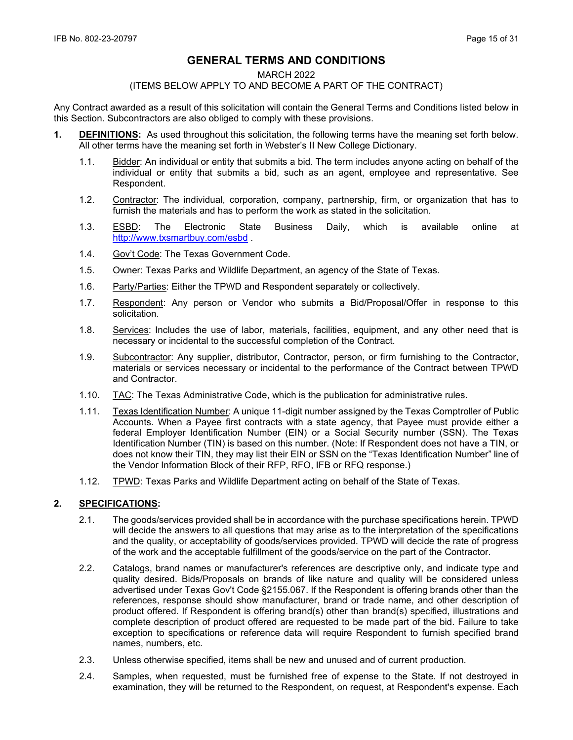# **GENERAL TERMS AND CONDITIONS**

#### MARCH 2022

## (ITEMS BELOW APPLY TO AND BECOME A PART OF THE CONTRACT)

Any Contract awarded as a result of this solicitation will contain the General Terms and Conditions listed below in this Section. Subcontractors are also obliged to comply with these provisions.

- **1. DEFINITIONS:** As used throughout this solicitation, the following terms have the meaning set forth below. All other terms have the meaning set forth in Webster's II New College Dictionary.
	- 1.1. Bidder: An individual or entity that submits a bid. The term includes anyone acting on behalf of the individual or entity that submits a bid, such as an agent, employee and representative. See Respondent.
	- 1.2. Contractor: The individual, corporation, company, partnership, firm, or organization that has to furnish the materials and has to perform the work as stated in the solicitation.
	- 1.3. ESBD: The Electronic State Business Daily, which is available online at <http://www.txsmartbuy.com/esbd>.
	- 1.4. Gov't Code: The Texas Government Code.
	- 1.5. Owner: Texas Parks and Wildlife Department, an agency of the State of Texas.
	- 1.6. Party/Parties: Either the TPWD and Respondent separately or collectively.
	- 1.7. Respondent: Any person or Vendor who submits a Bid/Proposal/Offer in response to this solicitation.
	- 1.8. Services: Includes the use of labor, materials, facilities, equipment, and any other need that is necessary or incidental to the successful completion of the Contract.
	- 1.9. Subcontractor: Any supplier, distributor, Contractor, person, or firm furnishing to the Contractor, materials or services necessary or incidental to the performance of the Contract between TPWD and Contractor.
	- 1.10. TAC: The Texas Administrative Code, which is the publication for administrative rules.
	- 1.11. Texas Identification Number: A unique 11-digit number assigned by the Texas Comptroller of Public Accounts. When a Payee first contracts with a state agency, that Payee must provide either a federal Employer Identification Number (EIN) or a Social Security number (SSN). The Texas Identification Number (TIN) is based on this number. (Note: If Respondent does not have a TIN, or does not know their TIN, they may list their EIN or SSN on the "Texas Identification Number" line of the Vendor Information Block of their RFP, RFO, IFB or RFQ response.)
	- 1.12. TPWD: Texas Parks and Wildlife Department acting on behalf of the State of Texas.

## **2. SPECIFICATIONS:**

- 2.1. The goods/services provided shall be in accordance with the purchase specifications herein. TPWD will decide the answers to all questions that may arise as to the interpretation of the specifications and the quality, or acceptability of goods/services provided. TPWD will decide the rate of progress of the work and the acceptable fulfillment of the goods/service on the part of the Contractor.
- 2.2. Catalogs, brand names or manufacturer's references are descriptive only, and indicate type and quality desired. Bids/Proposals on brands of like nature and quality will be considered unless advertised under Texas Gov't Code §2155.067. If the Respondent is offering brands other than the references, response should show manufacturer, brand or trade name, and other description of product offered. If Respondent is offering brand(s) other than brand(s) specified, illustrations and complete description of product offered are requested to be made part of the bid. Failure to take exception to specifications or reference data will require Respondent to furnish specified brand names, numbers, etc.
- 2.3. Unless otherwise specified, items shall be new and unused and of current production.
- 2.4. Samples, when requested, must be furnished free of expense to the State. If not destroyed in examination, they will be returned to the Respondent, on request, at Respondent's expense. Each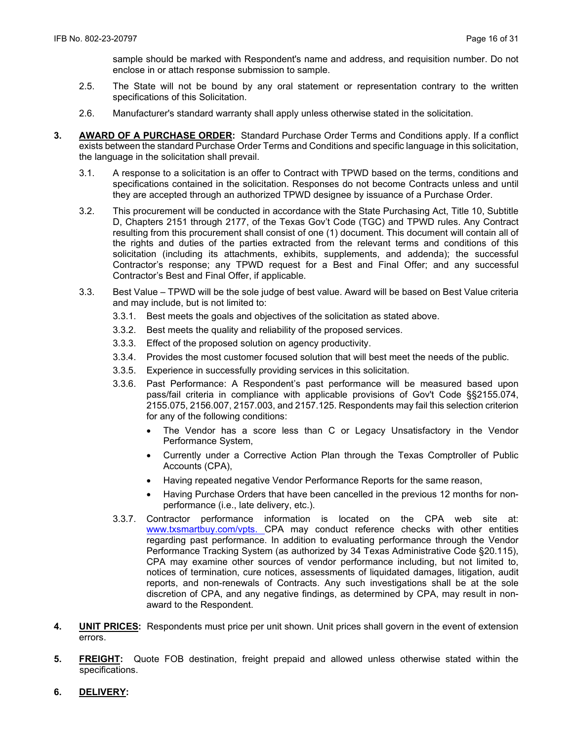sample should be marked with Respondent's name and address, and requisition number. Do not enclose in or attach response submission to sample.

- 2.5. The State will not be bound by any oral statement or representation contrary to the written specifications of this Solicitation.
- 2.6. Manufacturer's standard warranty shall apply unless otherwise stated in the solicitation.
- **3. AWARD OF A PURCHASE ORDER:** Standard Purchase Order Terms and Conditions apply. If a conflict exists between the standard Purchase Order Terms and Conditions and specific language in this solicitation, the language in the solicitation shall prevail.
	- 3.1. A response to a solicitation is an offer to Contract with TPWD based on the terms, conditions and specifications contained in the solicitation. Responses do not become Contracts unless and until they are accepted through an authorized TPWD designee by issuance of a Purchase Order.
	- 3.2. This procurement will be conducted in accordance with the State Purchasing Act, Title 10, Subtitle D, Chapters 2151 through 2177, of the Texas Gov't Code (TGC) and TPWD rules. Any Contract resulting from this procurement shall consist of one (1) document. This document will contain all of the rights and duties of the parties extracted from the relevant terms and conditions of this solicitation (including its attachments, exhibits, supplements, and addenda); the successful Contractor's response; any TPWD request for a Best and Final Offer; and any successful Contractor's Best and Final Offer, if applicable.
	- 3.3. Best Value TPWD will be the sole judge of best value. Award will be based on Best Value criteria and may include, but is not limited to:
		- 3.3.1. Best meets the goals and objectives of the solicitation as stated above.
		- 3.3.2. Best meets the quality and reliability of the proposed services.
		- 3.3.3. Effect of the proposed solution on agency productivity.
		- 3.3.4. Provides the most customer focused solution that will best meet the needs of the public.
		- 3.3.5. Experience in successfully providing services in this solicitation.
		- 3.3.6. Past Performance: A Respondent's past performance will be measured based upon pass/fail criteria in compliance with applicable provisions of Gov't Code §§2155.074, 2155.075, 2156.007, 2157.003, and 2157.125. Respondents may fail this selection criterion for any of the following conditions:
			- The Vendor has a score less than C or Legacy Unsatisfactory in the Vendor Performance System,
			- Currently under a Corrective Action Plan through the Texas Comptroller of Public Accounts (CPA),
			- Having repeated negative Vendor Performance Reports for the same reason,
			- Having Purchase Orders that have been cancelled in the previous 12 months for nonperformance (i.e., late delivery, etc.).
		- 3.3.7. Contractor performance information is located on the CPA web site at: [www.txsmartbuy.com/vpts.](http://www.txsmartbuy.com/vpts) CPA may conduct reference checks with other entities regarding past performance. In addition to evaluating performance through the Vendor Performance Tracking System (as authorized by 34 Texas Administrative Code §20.115), CPA may examine other sources of vendor performance including, but not limited to, notices of termination, cure notices, assessments of liquidated damages, litigation, audit reports, and non-renewals of Contracts. Any such investigations shall be at the sole discretion of CPA, and any negative findings, as determined by CPA, may result in nonaward to the Respondent.
- **4. UNIT PRICES:** Respondents must price per unit shown. Unit prices shall govern in the event of extension errors.
- **5. FREIGHT:** Quote FOB destination, freight prepaid and allowed unless otherwise stated within the specifications.
- **6. DELIVERY:**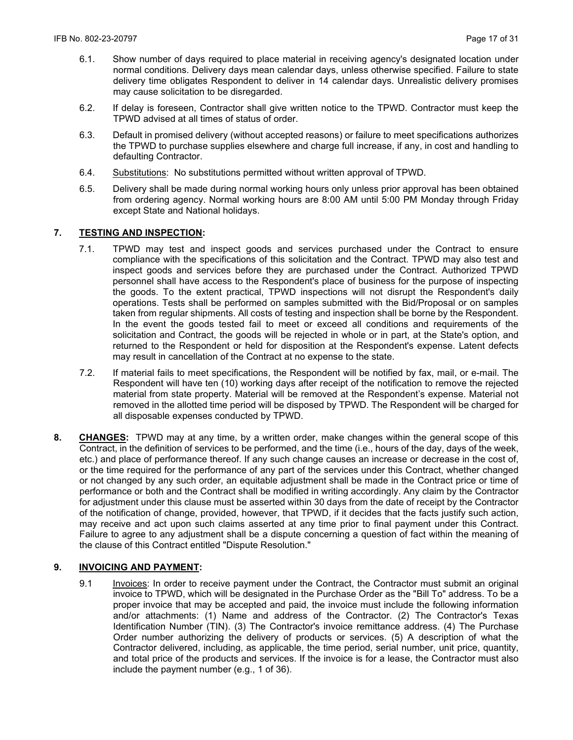- 6.1. Show number of days required to place material in receiving agency's designated location under normal conditions. Delivery days mean calendar days, unless otherwise specified. Failure to state delivery time obligates Respondent to deliver in 14 calendar days. Unrealistic delivery promises may cause solicitation to be disregarded.
- 6.2. If delay is foreseen, Contractor shall give written notice to the TPWD. Contractor must keep the TPWD advised at all times of status of order.
- 6.3. Default in promised delivery (without accepted reasons) or failure to meet specifications authorizes the TPWD to purchase supplies elsewhere and charge full increase, if any, in cost and handling to defaulting Contractor.
- 6.4. Substitutions: No substitutions permitted without written approval of TPWD.
- 6.5. Delivery shall be made during normal working hours only unless prior approval has been obtained from ordering agency. Normal working hours are 8:00 AM until 5:00 PM Monday through Friday except State and National holidays.

## **7. TESTING AND INSPECTION:**

- 7.1. TPWD may test and inspect goods and services purchased under the Contract to ensure compliance with the specifications of this solicitation and the Contract. TPWD may also test and inspect goods and services before they are purchased under the Contract. Authorized TPWD personnel shall have access to the Respondent's place of business for the purpose of inspecting the goods. To the extent practical, TPWD inspections will not disrupt the Respondent's daily operations. Tests shall be performed on samples submitted with the Bid/Proposal or on samples taken from regular shipments. All costs of testing and inspection shall be borne by the Respondent. In the event the goods tested fail to meet or exceed all conditions and requirements of the solicitation and Contract, the goods will be rejected in whole or in part, at the State's option, and returned to the Respondent or held for disposition at the Respondent's expense. Latent defects may result in cancellation of the Contract at no expense to the state.
- 7.2. If material fails to meet specifications, the Respondent will be notified by fax, mail, or e-mail. The Respondent will have ten (10) working days after receipt of the notification to remove the rejected material from state property. Material will be removed at the Respondent's expense. Material not removed in the allotted time period will be disposed by TPWD. The Respondent will be charged for all disposable expenses conducted by TPWD.
- **8. CHANGES:** TPWD may at any time, by a written order, make changes within the general scope of this Contract, in the definition of services to be performed, and the time (i.e., hours of the day, days of the week, etc.) and place of performance thereof. If any such change causes an increase or decrease in the cost of, or the time required for the performance of any part of the services under this Contract, whether changed or not changed by any such order, an equitable adjustment shall be made in the Contract price or time of performance or both and the Contract shall be modified in writing accordingly. Any claim by the Contractor for adjustment under this clause must be asserted within 30 days from the date of receipt by the Contractor of the notification of change, provided, however, that TPWD, if it decides that the facts justify such action, may receive and act upon such claims asserted at any time prior to final payment under this Contract. Failure to agree to any adjustment shall be a dispute concerning a question of fact within the meaning of the clause of this Contract entitled "Dispute Resolution."

### **9. INVOICING AND PAYMENT:**

9.1 Invoices: In order to receive payment under the Contract, the Contractor must submit an original invoice to TPWD, which will be designated in the Purchase Order as the "Bill To" address. To be a proper invoice that may be accepted and paid, the invoice must include the following information and/or attachments: (1) Name and address of the Contractor. (2) The Contractor's Texas Identification Number (TIN). (3) The Contractor's invoice remittance address. (4) The Purchase Order number authorizing the delivery of products or services. (5) A description of what the Contractor delivered, including, as applicable, the time period, serial number, unit price, quantity, and total price of the products and services. If the invoice is for a lease, the Contractor must also include the payment number (e.g., 1 of 36).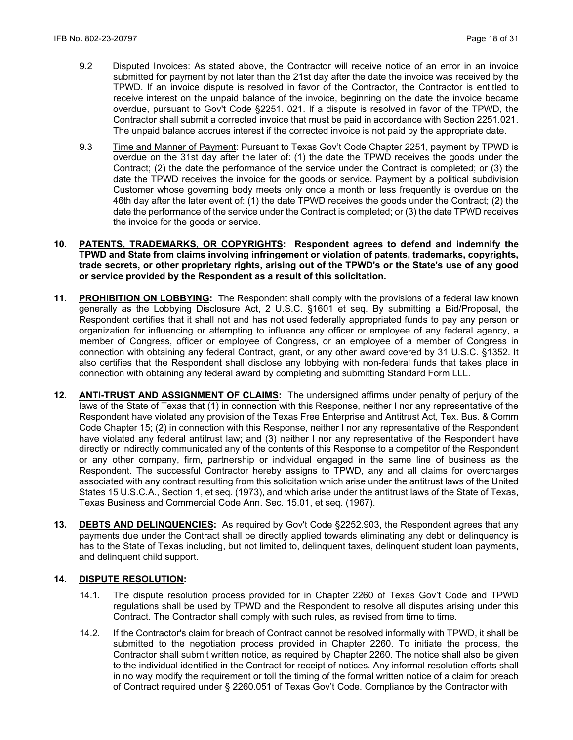- 9.2 Disputed Invoices: As stated above, the Contractor will receive notice of an error in an invoice submitted for payment by not later than the 21st day after the date the invoice was received by the TPWD. If an invoice dispute is resolved in favor of the Contractor, the Contractor is entitled to receive interest on the unpaid balance of the invoice, beginning on the date the invoice became overdue, pursuant to Gov't Code §2251. 021. If a dispute is resolved in favor of the TPWD, the Contractor shall submit a corrected invoice that must be paid in accordance with Section 2251.021. The unpaid balance accrues interest if the corrected invoice is not paid by the appropriate date.
- 9.3 Time and Manner of Payment: Pursuant to Texas Gov't Code Chapter 2251, payment by TPWD is overdue on the 31st day after the later of: (1) the date the TPWD receives the goods under the Contract; (2) the date the performance of the service under the Contract is completed; or (3) the date the TPWD receives the invoice for the goods or service. Payment by a political subdivision Customer whose governing body meets only once a month or less frequently is overdue on the 46th day after the later event of: (1) the date TPWD receives the goods under the Contract; (2) the date the performance of the service under the Contract is completed; or (3) the date TPWD receives the invoice for the goods or service.
- **10. PATENTS, TRADEMARKS, OR COPYRIGHTS: Respondent agrees to defend and indemnify the TPWD and State from claims involving infringement or violation of patents, trademarks, copyrights, trade secrets, or other proprietary rights, arising out of the TPWD's or the State's use of any good or service provided by the Respondent as a result of this solicitation.**
- **11. PROHIBITION ON LOBBYING:** The Respondent shall comply with the provisions of a federal law known generally as the Lobbying Disclosure Act, 2 U.S.C. §1601 et seq. By submitting a Bid/Proposal, the Respondent certifies that it shall not and has not used federally appropriated funds to pay any person or organization for influencing or attempting to influence any officer or employee of any federal agency, a member of Congress, officer or employee of Congress, or an employee of a member of Congress in connection with obtaining any federal Contract, grant, or any other award covered by 31 U.S.C. §1352. It also certifies that the Respondent shall disclose any lobbying with non-federal funds that takes place in connection with obtaining any federal award by completing and submitting Standard Form LLL.
- **12. ANTI-TRUST AND ASSIGNMENT OF CLAIMS:** The undersigned affirms under penalty of perjury of the laws of the State of Texas that (1) in connection with this Response, neither I nor any representative of the Respondent have violated any provision of the Texas Free Enterprise and Antitrust Act, Tex. Bus. & Comm Code Chapter 15; (2) in connection with this Response, neither I nor any representative of the Respondent have violated any federal antitrust law; and (3) neither I nor any representative of the Respondent have directly or indirectly communicated any of the contents of this Response to a competitor of the Respondent or any other company, firm, partnership or individual engaged in the same line of business as the Respondent. The successful Contractor hereby assigns to TPWD, any and all claims for overcharges associated with any contract resulting from this solicitation which arise under the antitrust laws of the United States 15 U.S.C.A., Section 1, et seq. (1973), and which arise under the antitrust laws of the State of Texas, Texas Business and Commercial Code Ann. Sec. 15.01, et seq. (1967).
- **13. DEBTS AND DELINQUENCIES:** As required by Gov't Code §2252.903, the Respondent agrees that any payments due under the Contract shall be directly applied towards eliminating any debt or delinquency is has to the State of Texas including, but not limited to, delinquent taxes, delinquent student loan payments, and delinquent child support.

## **14. DISPUTE RESOLUTION:**

- 14.1. The dispute resolution process provided for in Chapter 2260 of Texas Gov't Code and TPWD regulations shall be used by TPWD and the Respondent to resolve all disputes arising under this Contract. The Contractor shall comply with such rules, as revised from time to time.
- 14.2. If the Contractor's claim for breach of Contract cannot be resolved informally with TPWD, it shall be submitted to the negotiation process provided in Chapter 2260. To initiate the process, the Contractor shall submit written notice, as required by Chapter 2260. The notice shall also be given to the individual identified in the Contract for receipt of notices. Any informal resolution efforts shall in no way modify the requirement or toll the timing of the formal written notice of a claim for breach of Contract required under § 2260.051 of Texas Gov't Code. Compliance by the Contractor with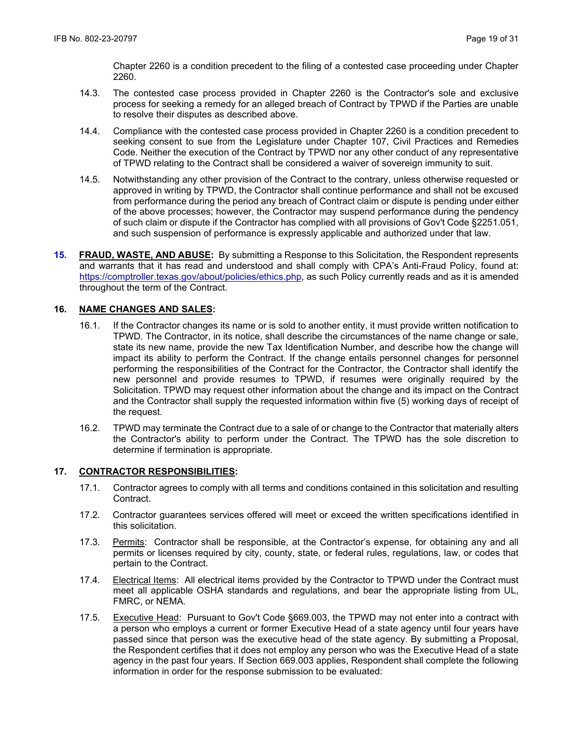Chapter 2260 is a condition precedent to the filing of a contested case proceeding under Chapter 2260.

- 14.3. The contested case process provided in Chapter 2260 is the Contractor's sole and exclusive process for seeking a remedy for an alleged breach of Contract by TPWD if the Parties are unable to resolve their disputes as described above.
- 14.4. Compliance with the contested case process provided in Chapter 2260 is a condition precedent to seeking consent to sue from the Legislature under Chapter 107, Civil Practices and Remedies Code. Neither the execution of the Contract by TPWD nor any other conduct of any representative of TPWD relating to the Contract shall be considered a waiver of sovereign immunity to suit.
- 14.5. Notwithstanding any other provision of the Contract to the contrary, unless otherwise requested or approved in writing by TPWD, the Contractor shall continue performance and shall not be excused from performance during the period any breach of Contract claim or dispute is pending under either of the above processes; however, the Contractor may suspend performance during the pendency of such claim or dispute if the Contractor has complied with all provisions of Gov't Code §2251.051, and such suspension of performance is expressly applicable and authorized under that law.
- **15. FRAUD, WASTE, AND ABUSE:** By submitting a Response to this Solicitation, the Respondent represents and warrants that it has read and understood and shall comply with CPA's Anti-Fraud Policy, found at: https://comptroller.texas.gov/about/policies/ethics.php, as such Policy currently reads and as it is amended throughout the term of the Contract.

## **16. NAME CHANGES AND SALES:**

- 16.1. If the Contractor changes its name or is sold to another entity, it must provide written notification to TPWD. The Contractor, in its notice, shall describe the circumstances of the name change or sale, state its new name, provide the new Tax Identification Number, and describe how the change will impact its ability to perform the Contract. If the change entails personnel changes for personnel performing the responsibilities of the Contract for the Contractor, the Contractor shall identify the new personnel and provide resumes to TPWD, if resumes were originally required by the Solicitation. TPWD may request other information about the change and its impact on the Contract and the Contractor shall supply the requested information within five (5) working days of receipt of the request.
- 16.2. TPWD may terminate the Contract due to a sale of or change to the Contractor that materially alters the Contractor's ability to perform under the Contract. The TPWD has the sole discretion to determine if termination is appropriate.

### **17. CONTRACTOR RESPONSIBILITIES:**

- 17.1. Contractor agrees to comply with all terms and conditions contained in this solicitation and resulting Contract.
- 17.2. Contractor guarantees services offered will meet or exceed the written specifications identified in this solicitation.
- 17.3. Permits: Contractor shall be responsible, at the Contractor's expense, for obtaining any and all permits or licenses required by city, county, state, or federal rules, regulations, law, or codes that pertain to the Contract.
- 17.4. Electrical Items: All electrical items provided by the Contractor to TPWD under the Contract must meet all applicable OSHA standards and regulations, and bear the appropriate listing from UL, FMRC, or NEMA.
- 17.5. Executive Head: Pursuant to Gov't Code §669.003, the TPWD may not enter into a contract with a person who employs a current or former Executive Head of a state agency until four years have passed since that person was the executive head of the state agency. By submitting a Proposal, the Respondent certifies that it does not employ any person who was the Executive Head of a state agency in the past four years. If Section 669.003 applies, Respondent shall complete the following information in order for the response submission to be evaluated: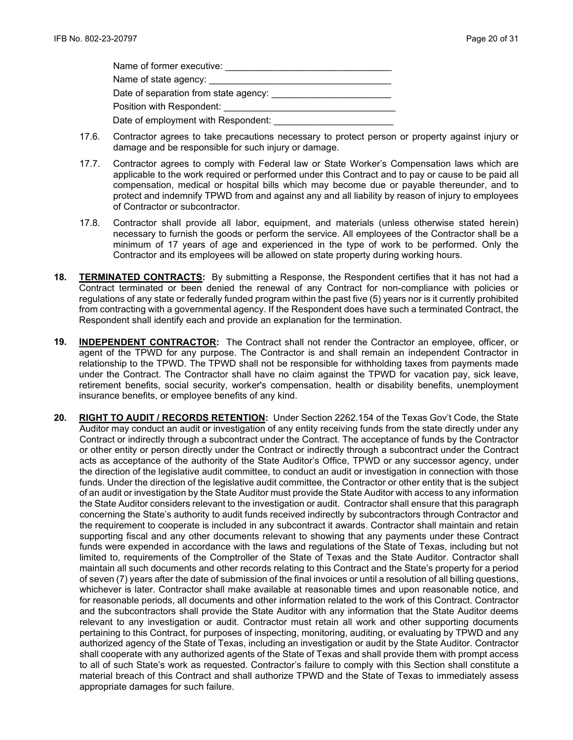| Name of former executive:                   |  |
|---------------------------------------------|--|
| Name of state agency: Name of state agency: |  |
|                                             |  |
| Position with Respondent:                   |  |
| Date of employment with Respondent:         |  |

- 17.6. Contractor agrees to take precautions necessary to protect person or property against injury or damage and be responsible for such injury or damage.
- 17.7. Contractor agrees to comply with Federal law or State Worker's Compensation laws which are applicable to the work required or performed under this Contract and to pay or cause to be paid all compensation, medical or hospital bills which may become due or payable thereunder, and to protect and indemnify TPWD from and against any and all liability by reason of injury to employees of Contractor or subcontractor.
- 17.8. Contractor shall provide all labor, equipment, and materials (unless otherwise stated herein) necessary to furnish the goods or perform the service. All employees of the Contractor shall be a minimum of 17 years of age and experienced in the type of work to be performed. Only the Contractor and its employees will be allowed on state property during working hours.
- **18. TERMINATED CONTRACTS:** By submitting a Response, the Respondent certifies that it has not had a Contract terminated or been denied the renewal of any Contract for non-compliance with policies or regulations of any state or federally funded program within the past five (5) years nor is it currently prohibited from contracting with a governmental agency. If the Respondent does have such a terminated Contract, the Respondent shall identify each and provide an explanation for the termination.
- **19. INDEPENDENT CONTRACTOR:** The Contract shall not render the Contractor an employee, officer, or agent of the TPWD for any purpose. The Contractor is and shall remain an independent Contractor in relationship to the TPWD. The TPWD shall not be responsible for withholding taxes from payments made under the Contract. The Contractor shall have no claim against the TPWD for vacation pay, sick leave, retirement benefits, social security, worker's compensation, health or disability benefits, unemployment insurance benefits, or employee benefits of any kind.
- **20. RIGHT TO AUDIT / RECORDS RETENTION:** Under Section 2262.154 of the Texas Gov't Code, the State Auditor may conduct an audit or investigation of any entity receiving funds from the state directly under any Contract or indirectly through a subcontract under the Contract. The acceptance of funds by the Contractor or other entity or person directly under the Contract or indirectly through a subcontract under the Contract acts as acceptance of the authority of the State Auditor's Office, TPWD or any successor agency, under the direction of the legislative audit committee, to conduct an audit or investigation in connection with those funds. Under the direction of the legislative audit committee, the Contractor or other entity that is the subject of an audit or investigation by the State Auditor must provide the State Auditor with access to any information the State Auditor considers relevant to the investigation or audit. Contractor shall ensure that this paragraph concerning the State's authority to audit funds received indirectly by subcontractors through Contractor and the requirement to cooperate is included in any subcontract it awards. Contractor shall maintain and retain supporting fiscal and any other documents relevant to showing that any payments under these Contract funds were expended in accordance with the laws and regulations of the State of Texas, including but not limited to, requirements of the Comptroller of the State of Texas and the State Auditor. Contractor shall maintain all such documents and other records relating to this Contract and the State's property for a period of seven (7) years after the date of submission of the final invoices or until a resolution of all billing questions, whichever is later. Contractor shall make available at reasonable times and upon reasonable notice, and for reasonable periods, all documents and other information related to the work of this Contract. Contractor and the subcontractors shall provide the State Auditor with any information that the State Auditor deems relevant to any investigation or audit. Contractor must retain all work and other supporting documents pertaining to this Contract, for purposes of inspecting, monitoring, auditing, or evaluating by TPWD and any authorized agency of the State of Texas, including an investigation or audit by the State Auditor. Contractor shall cooperate with any authorized agents of the State of Texas and shall provide them with prompt access to all of such State's work as requested. Contractor's failure to comply with this Section shall constitute a material breach of this Contract and shall authorize TPWD and the State of Texas to immediately assess appropriate damages for such failure.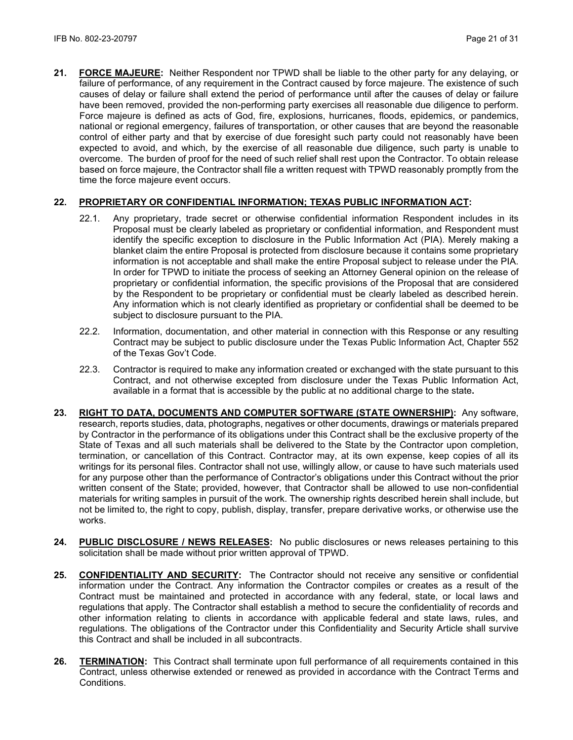**21. FORCE MAJEURE:** Neither Respondent nor TPWD shall be liable to the other party for any delaying, or failure of performance, of any requirement in the Contract caused by force majeure. The existence of such causes of delay or failure shall extend the period of performance until after the causes of delay or failure have been removed, provided the non-performing party exercises all reasonable due diligence to perform. Force majeure is defined as acts of God, fire, explosions, hurricanes, floods, epidemics, or pandemics, national or regional emergency, failures of transportation, or other causes that are beyond the reasonable control of either party and that by exercise of due foresight such party could not reasonably have been expected to avoid, and which, by the exercise of all reasonable due diligence, such party is unable to overcome. The burden of proof for the need of such relief shall rest upon the Contractor. To obtain release based on force majeure, the Contractor shall file a written request with TPWD reasonably promptly from the time the force majeure event occurs.

# **22. PROPRIETARY OR CONFIDENTIAL INFORMATION; TEXAS PUBLIC INFORMATION ACT:**

- 22.1. Any proprietary, trade secret or otherwise confidential information Respondent includes in its Proposal must be clearly labeled as proprietary or confidential information, and Respondent must identify the specific exception to disclosure in the Public Information Act (PIA). Merely making a blanket claim the entire Proposal is protected from disclosure because it contains some proprietary information is not acceptable and shall make the entire Proposal subject to release under the PIA. In order for TPWD to initiate the process of seeking an Attorney General opinion on the release of proprietary or confidential information, the specific provisions of the Proposal that are considered by the Respondent to be proprietary or confidential must be clearly labeled as described herein. Any information which is not clearly identified as proprietary or confidential shall be deemed to be subject to disclosure pursuant to the PIA.
- 22.2. Information, documentation, and other material in connection with this Response or any resulting Contract may be subject to public disclosure under the Texas Public Information Act, Chapter 552 of the Texas Gov't Code.
- 22.3. Contractor is required to make any information created or exchanged with the state pursuant to this Contract, and not otherwise excepted from disclosure under the Texas Public Information Act, available in a format that is accessible by the public at no additional charge to the state**.**
- **23. RIGHT TO DATA, DOCUMENTS AND COMPUTER SOFTWARE (STATE OWNERSHIP):** Any software, research, reports studies, data, photographs, negatives or other documents, drawings or materials prepared by Contractor in the performance of its obligations under this Contract shall be the exclusive property of the State of Texas and all such materials shall be delivered to the State by the Contractor upon completion, termination, or cancellation of this Contract. Contractor may, at its own expense, keep copies of all its writings for its personal files. Contractor shall not use, willingly allow, or cause to have such materials used for any purpose other than the performance of Contractor's obligations under this Contract without the prior written consent of the State; provided, however, that Contractor shall be allowed to use non-confidential materials for writing samples in pursuit of the work. The ownership rights described herein shall include, but not be limited to, the right to copy, publish, display, transfer, prepare derivative works, or otherwise use the works.
- **24. PUBLIC DISCLOSURE / NEWS RELEASES:** No public disclosures or news releases pertaining to this solicitation shall be made without prior written approval of TPWD.
- **25. CONFIDENTIALITY AND SECURITY:** The Contractor should not receive any sensitive or confidential information under the Contract. Any information the Contractor compiles or creates as a result of the Contract must be maintained and protected in accordance with any federal, state, or local laws and regulations that apply. The Contractor shall establish a method to secure the confidentiality of records and other information relating to clients in accordance with applicable federal and state laws, rules, and regulations. The obligations of the Contractor under this Confidentiality and Security Article shall survive this Contract and shall be included in all subcontracts.
- **26. TERMINATION:** This Contract shall terminate upon full performance of all requirements contained in this Contract, unless otherwise extended or renewed as provided in accordance with the Contract Terms and Conditions.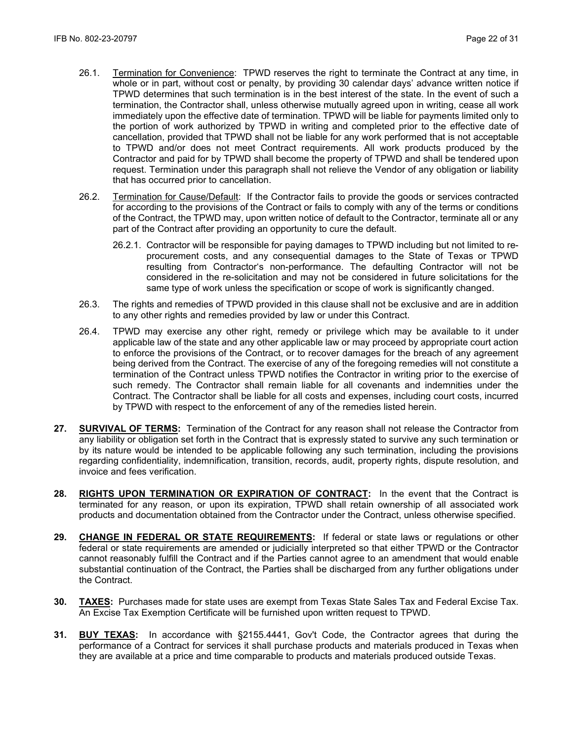- 26.1. Termination for Convenience: TPWD reserves the right to terminate the Contract at any time, in whole or in part, without cost or penalty, by providing 30 calendar days' advance written notice if TPWD determines that such termination is in the best interest of the state. In the event of such a termination, the Contractor shall, unless otherwise mutually agreed upon in writing, cease all work immediately upon the effective date of termination. TPWD will be liable for payments limited only to the portion of work authorized by TPWD in writing and completed prior to the effective date of cancellation, provided that TPWD shall not be liable for any work performed that is not acceptable to TPWD and/or does not meet Contract requirements. All work products produced by the Contractor and paid for by TPWD shall become the property of TPWD and shall be tendered upon request. Termination under this paragraph shall not relieve the Vendor of any obligation or liability that has occurred prior to cancellation.
- 26.2. Termination for Cause/Default: If the Contractor fails to provide the goods or services contracted for according to the provisions of the Contract or fails to comply with any of the terms or conditions of the Contract, the TPWD may, upon written notice of default to the Contractor, terminate all or any part of the Contract after providing an opportunity to cure the default.
	- 26.2.1. Contractor will be responsible for paying damages to TPWD including but not limited to reprocurement costs, and any consequential damages to the State of Texas or TPWD resulting from Contractor's non-performance. The defaulting Contractor will not be considered in the re-solicitation and may not be considered in future solicitations for the same type of work unless the specification or scope of work is significantly changed.
- 26.3. The rights and remedies of TPWD provided in this clause shall not be exclusive and are in addition to any other rights and remedies provided by law or under this Contract.
- 26.4. TPWD may exercise any other right, remedy or privilege which may be available to it under applicable law of the state and any other applicable law or may proceed by appropriate court action to enforce the provisions of the Contract, or to recover damages for the breach of any agreement being derived from the Contract. The exercise of any of the foregoing remedies will not constitute a termination of the Contract unless TPWD notifies the Contractor in writing prior to the exercise of such remedy. The Contractor shall remain liable for all covenants and indemnities under the Contract. The Contractor shall be liable for all costs and expenses, including court costs, incurred by TPWD with respect to the enforcement of any of the remedies listed herein.
- **27. SURVIVAL OF TERMS:** Termination of the Contract for any reason shall not release the Contractor from any liability or obligation set forth in the Contract that is expressly stated to survive any such termination or by its nature would be intended to be applicable following any such termination, including the provisions regarding confidentiality, indemnification, transition, records, audit, property rights, dispute resolution, and invoice and fees verification.
- **28. RIGHTS UPON TERMINATION OR EXPIRATION OF CONTRACT:** In the event that the Contract is terminated for any reason, or upon its expiration, TPWD shall retain ownership of all associated work products and documentation obtained from the Contractor under the Contract, unless otherwise specified.
- **29. CHANGE IN FEDERAL OR STATE REQUIREMENTS:** If federal or state laws or regulations or other federal or state requirements are amended or judicially interpreted so that either TPWD or the Contractor cannot reasonably fulfill the Contract and if the Parties cannot agree to an amendment that would enable substantial continuation of the Contract, the Parties shall be discharged from any further obligations under the Contract.
- **30. TAXES:** Purchases made for state uses are exempt from Texas State Sales Tax and Federal Excise Tax. An Excise Tax Exemption Certificate will be furnished upon written request to TPWD.
- **31. BUY TEXAS:** In accordance with §2155.4441, Gov't Code, the Contractor agrees that during the performance of a Contract for services it shall purchase products and materials produced in Texas when they are available at a price and time comparable to products and materials produced outside Texas.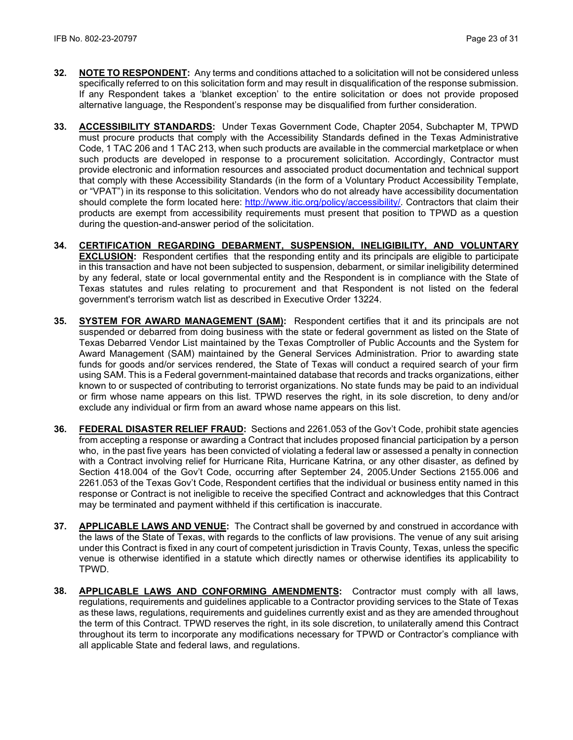- **32. NOTE TO RESPONDENT:** Any terms and conditions attached to a solicitation will not be considered unless specifically referred to on this solicitation form and may result in disqualification of the response submission. If any Respondent takes a 'blanket exception' to the entire solicitation or does not provide proposed alternative language, the Respondent's response may be disqualified from further consideration.
- **33. ACCESSIBILITY STANDARDS:** Under Texas Government Code, Chapter 2054, Subchapter M, TPWD must procure products that comply with the Accessibility Standards defined in the Texas Administrative Code, 1 TAC 206 and 1 TAC 213, when such products are available in the commercial marketplace or when such products are developed in response to a procurement solicitation. Accordingly, Contractor must provide electronic and information resources and associated product documentation and technical support that comply with these Accessibility Standards (in the form of a Voluntary Product Accessibility Template, or "VPAT") in its response to this solicitation. Vendors who do not already have accessibility documentation should complete the form located here: [http://www.itic.org/policy/accessibility/.](http://www.itic.org/policy/accessibility/) Contractors that claim their products are exempt from accessibility requirements must present that position to TPWD as a question during the question-and-answer period of the solicitation.
- **34. CERTIFICATION REGARDING DEBARMENT, SUSPENSION, INELIGIBILITY, AND VOLUNTARY EXCLUSION:** Respondent certifies that the responding entity and its principals are eligible to participate in this transaction and have not been subjected to suspension, debarment, or similar ineligibility determined by any federal, state or local governmental entity and the Respondent is in compliance with the State of Texas statutes and rules relating to procurement and that Respondent is not listed on the federal government's terrorism watch list as described in Executive Order 13224.
- **35. SYSTEM FOR AWARD MANAGEMENT (SAM):** Respondent certifies that it and its principals are not suspended or debarred from doing business with the state or federal government as listed on the State of Texas Debarred Vendor List maintained by the Texas Comptroller of Public Accounts and the System for Award Management (SAM) maintained by the General Services Administration. Prior to awarding state funds for goods and/or services rendered, the State of Texas will conduct a required search of your firm using SAM. This is a Federal government-maintained database that records and tracks organizations, either known to or suspected of contributing to terrorist organizations. No state funds may be paid to an individual or firm whose name appears on this list. TPWD reserves the right, in its sole discretion, to deny and/or exclude any individual or firm from an award whose name appears on this list.
- **36. FEDERAL DISASTER RELIEF FRAUD:** Sections and 2261.053 of the Gov't Code, prohibit state agencies from accepting a response or awarding a Contract that includes proposed financial participation by a person who, in the past five years has been convicted of violating a federal law or assessed a penalty in connection with a Contract involving relief for Hurricane Rita, Hurricane Katrina, or any other disaster, as defined by Section 418.004 of the Gov't Code, occurring after September 24, 2005.Under Sections 2155.006 and 2261.053 of the Texas Gov't Code, Respondent certifies that the individual or business entity named in this response or Contract is not ineligible to receive the specified Contract and acknowledges that this Contract may be terminated and payment withheld if this certification is inaccurate.
- **37. APPLICABLE LAWS AND VENUE:** The Contract shall be governed by and construed in accordance with the laws of the State of Texas, with regards to the conflicts of law provisions. The venue of any suit arising under this Contract is fixed in any court of competent jurisdiction in Travis County, Texas, unless the specific venue is otherwise identified in a statute which directly names or otherwise identifies its applicability to TPWD.
- **38. APPLICABLE LAWS AND CONFORMING AMENDMENTS:** Contractor must comply with all laws, regulations, requirements and guidelines applicable to a Contractor providing services to the State of Texas as these laws, regulations, requirements and guidelines currently exist and as they are amended throughout the term of this Contract. TPWD reserves the right, in its sole discretion, to unilaterally amend this Contract throughout its term to incorporate any modifications necessary for TPWD or Contractor's compliance with all applicable State and federal laws, and regulations.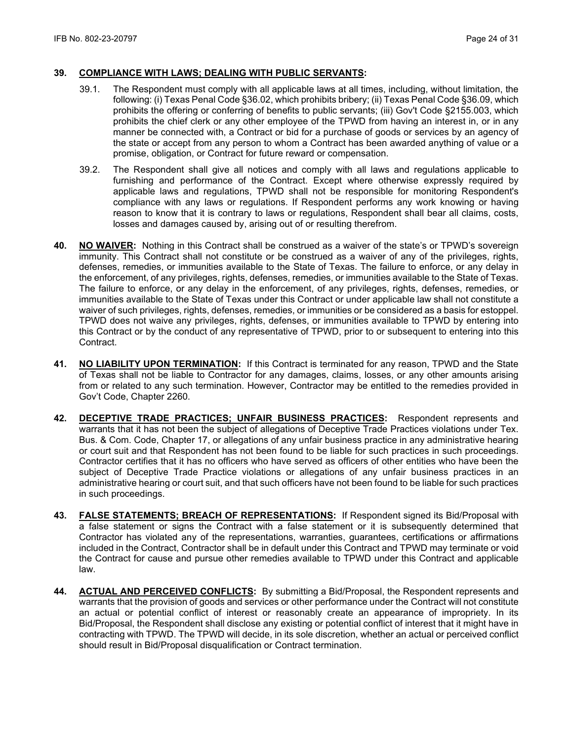## **39. COMPLIANCE WITH LAWS; DEALING WITH PUBLIC SERVANTS:**

- 39.1. The Respondent must comply with all applicable laws at all times, including, without limitation, the following: (i) Texas Penal Code §36.02, which prohibits bribery; (ii) Texas Penal Code §36.09, which prohibits the offering or conferring of benefits to public servants; (iii) Gov't Code §2155.003, which prohibits the chief clerk or any other employee of the TPWD from having an interest in, or in any manner be connected with, a Contract or bid for a purchase of goods or services by an agency of the state or accept from any person to whom a Contract has been awarded anything of value or a promise, obligation, or Contract for future reward or compensation.
- 39.2. The Respondent shall give all notices and comply with all laws and regulations applicable to furnishing and performance of the Contract. Except where otherwise expressly required by applicable laws and regulations, TPWD shall not be responsible for monitoring Respondent's compliance with any laws or regulations. If Respondent performs any work knowing or having reason to know that it is contrary to laws or regulations, Respondent shall bear all claims, costs, losses and damages caused by, arising out of or resulting therefrom.
- **40. NO WAIVER:** Nothing in this Contract shall be construed as a waiver of the state's or TPWD's sovereign immunity. This Contract shall not constitute or be construed as a waiver of any of the privileges, rights, defenses, remedies, or immunities available to the State of Texas. The failure to enforce, or any delay in the enforcement, of any privileges, rights, defenses, remedies, or immunities available to the State of Texas. The failure to enforce, or any delay in the enforcement, of any privileges, rights, defenses, remedies, or immunities available to the State of Texas under this Contract or under applicable law shall not constitute a waiver of such privileges, rights, defenses, remedies, or immunities or be considered as a basis for estoppel. TPWD does not waive any privileges, rights, defenses, or immunities available to TPWD by entering into this Contract or by the conduct of any representative of TPWD, prior to or subsequent to entering into this Contract.
- **41. NO LIABILITY UPON TERMINATION:** If this Contract is terminated for any reason, TPWD and the State of Texas shall not be liable to Contractor for any damages, claims, losses, or any other amounts arising from or related to any such termination. However, Contractor may be entitled to the remedies provided in Gov't Code, Chapter 2260.
- **42. DECEPTIVE TRADE PRACTICES; UNFAIR BUSINESS PRACTICES:** Respondent represents and warrants that it has not been the subject of allegations of Deceptive Trade Practices violations under Tex. Bus. & Com. Code, Chapter 17, or allegations of any unfair business practice in any administrative hearing or court suit and that Respondent has not been found to be liable for such practices in such proceedings. Contractor certifies that it has no officers who have served as officers of other entities who have been the subject of Deceptive Trade Practice violations or allegations of any unfair business practices in an administrative hearing or court suit, and that such officers have not been found to be liable for such practices in such proceedings.
- **43. FALSE STATEMENTS; BREACH OF REPRESENTATIONS:** If Respondent signed its Bid/Proposal with a false statement or signs the Contract with a false statement or it is subsequently determined that Contractor has violated any of the representations, warranties, guarantees, certifications or affirmations included in the Contract, Contractor shall be in default under this Contract and TPWD may terminate or void the Contract for cause and pursue other remedies available to TPWD under this Contract and applicable law.
- **44. ACTUAL AND PERCEIVED CONFLICTS:** By submitting a Bid/Proposal, the Respondent represents and warrants that the provision of goods and services or other performance under the Contract will not constitute an actual or potential conflict of interest or reasonably create an appearance of impropriety. In its Bid/Proposal, the Respondent shall disclose any existing or potential conflict of interest that it might have in contracting with TPWD. The TPWD will decide, in its sole discretion, whether an actual or perceived conflict should result in Bid/Proposal disqualification or Contract termination.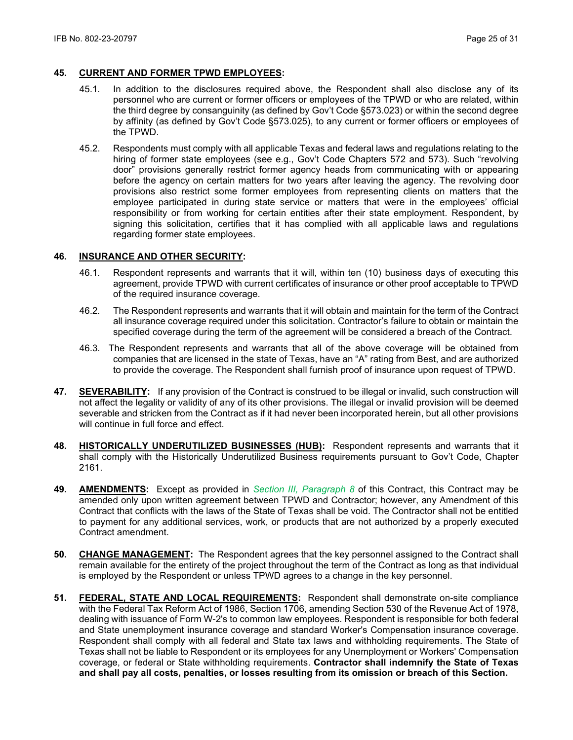## **45. CURRENT AND FORMER TPWD EMPLOYEES:**

- 45.1. In addition to the disclosures required above, the Respondent shall also disclose any of its personnel who are current or former officers or employees of the TPWD or who are related, within the third degree by consanguinity (as defined by Gov't Code §573.023) or within the second degree by affinity (as defined by Gov't Code §573.025), to any current or former officers or employees of the TPWD.
- 45.2. Respondents must comply with all applicable Texas and federal laws and regulations relating to the hiring of former state employees (see e.g., Gov't Code Chapters 572 and 573). Such "revolving door" provisions generally restrict former agency heads from communicating with or appearing before the agency on certain matters for two years after leaving the agency. The revolving door provisions also restrict some former employees from representing clients on matters that the employee participated in during state service or matters that were in the employees' official responsibility or from working for certain entities after their state employment. Respondent, by signing this solicitation, certifies that it has complied with all applicable laws and regulations regarding former state employees.

### **46. INSURANCE AND OTHER SECURITY:**

- 46.1. Respondent represents and warrants that it will, within ten (10) business days of executing this agreement, provide TPWD with current certificates of insurance or other proof acceptable to TPWD of the required insurance coverage.
- 46.2. The Respondent represents and warrants that it will obtain and maintain for the term of the Contract all insurance coverage required under this solicitation. Contractor's failure to obtain or maintain the specified coverage during the term of the agreement will be considered a breach of the Contract.
- 46.3. The Respondent represents and warrants that all of the above coverage will be obtained from companies that are licensed in the state of Texas, have an "A" rating from Best, and are authorized to provide the coverage. The Respondent shall furnish proof of insurance upon request of TPWD.
- **47. SEVERABILITY:** If any provision of the Contract is construed to be illegal or invalid, such construction will not affect the legality or validity of any of its other provisions. The illegal or invalid provision will be deemed severable and stricken from the Contract as if it had never been incorporated herein, but all other provisions will continue in full force and effect.
- **48. HISTORICALLY UNDERUTILIZED BUSINESSES (HUB):** Respondent represents and warrants that it shall comply with the Historically Underutilized Business requirements pursuant to Gov't Code, Chapter 2161.
- **49. AMENDMENTS:** Except as provided in *Section III, Paragraph 8* of this Contract, this Contract may be amended only upon written agreement between TPWD and Contractor; however, any Amendment of this Contract that conflicts with the laws of the State of Texas shall be void. The Contractor shall not be entitled to payment for any additional services, work, or products that are not authorized by a properly executed Contract amendment.
- **50. CHANGE MANAGEMENT:** The Respondent agrees that the key personnel assigned to the Contract shall remain available for the entirety of the project throughout the term of the Contract as long as that individual is employed by the Respondent or unless TPWD agrees to a change in the key personnel.
- **51. FEDERAL, STATE AND LOCAL REQUIREMENTS:** Respondent shall demonstrate on-site compliance with the Federal Tax Reform Act of 1986, Section 1706, amending Section 530 of the Revenue Act of 1978, dealing with issuance of Form W-2's to common law employees. Respondent is responsible for both federal and State unemployment insurance coverage and standard Worker's Compensation insurance coverage. Respondent shall comply with all federal and State tax laws and withholding requirements. The State of Texas shall not be liable to Respondent or its employees for any Unemployment or Workers' Compensation coverage, or federal or State withholding requirements. **Contractor shall indemnify the State of Texas and shall pay all costs, penalties, or losses resulting from its omission or breach of this Section.**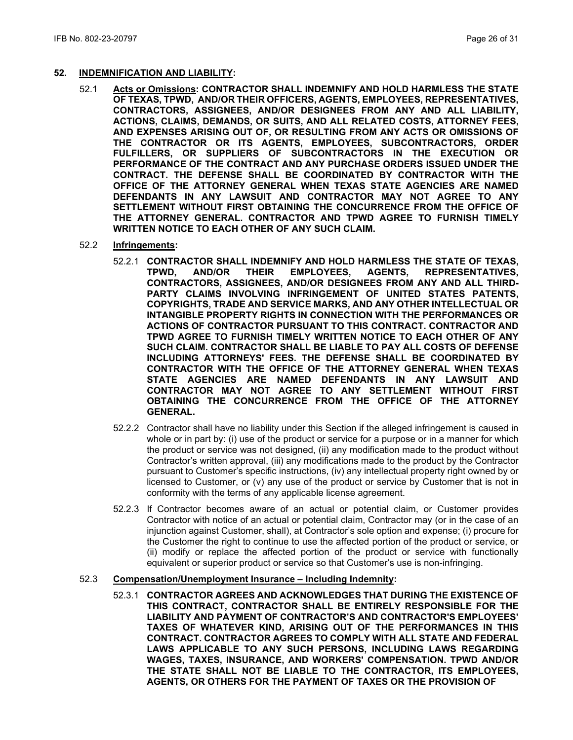#### **52. INDEMNIFICATION AND LIABILITY:**

52.1 **Acts or Omissions: CONTRACTOR SHALL INDEMNIFY AND HOLD HARMLESS THE STATE OF TEXAS, TPWD, AND/OR THEIR OFFICERS, AGENTS, EMPLOYEES, REPRESENTATIVES, CONTRACTORS, ASSIGNEES, AND/OR DESIGNEES FROM ANY AND ALL LIABILITY, ACTIONS, CLAIMS, DEMANDS, OR SUITS, AND ALL RELATED COSTS, ATTORNEY FEES, AND EXPENSES ARISING OUT OF, OR RESULTING FROM ANY ACTS OR OMISSIONS OF THE CONTRACTOR OR ITS AGENTS, EMPLOYEES, SUBCONTRACTORS, ORDER FULFILLERS, OR SUPPLIERS OF SUBCONTRACTORS IN THE EXECUTION OR PERFORMANCE OF THE CONTRACT AND ANY PURCHASE ORDERS ISSUED UNDER THE CONTRACT. THE DEFENSE SHALL BE COORDINATED BY CONTRACTOR WITH THE OFFICE OF THE ATTORNEY GENERAL WHEN TEXAS STATE AGENCIES ARE NAMED DEFENDANTS IN ANY LAWSUIT AND CONTRACTOR MAY NOT AGREE TO ANY SETTLEMENT WITHOUT FIRST OBTAINING THE CONCURRENCE FROM THE OFFICE OF THE ATTORNEY GENERAL. CONTRACTOR AND TPWD AGREE TO FURNISH TIMELY WRITTEN NOTICE TO EACH OTHER OF ANY SUCH CLAIM.**

#### 52.2 **Infringements:**

- 52.2.1 **CONTRACTOR SHALL INDEMNIFY AND HOLD HARMLESS THE STATE OF TEXAS, REPRESENTATIVES, CONTRACTORS, ASSIGNEES, AND/OR DESIGNEES FROM ANY AND ALL THIRD-PARTY CLAIMS INVOLVING INFRINGEMENT OF UNITED STATES PATENTS, COPYRIGHTS, TRADE AND SERVICE MARKS, AND ANY OTHER INTELLECTUAL OR INTANGIBLE PROPERTY RIGHTS IN CONNECTION WITH THE PERFORMANCES OR ACTIONS OF CONTRACTOR PURSUANT TO THIS CONTRACT. CONTRACTOR AND TPWD AGREE TO FURNISH TIMELY WRITTEN NOTICE TO EACH OTHER OF ANY SUCH CLAIM. CONTRACTOR SHALL BE LIABLE TO PAY ALL COSTS OF DEFENSE INCLUDING ATTORNEYS' FEES. THE DEFENSE SHALL BE COORDINATED BY CONTRACTOR WITH THE OFFICE OF THE ATTORNEY GENERAL WHEN TEXAS STATE AGENCIES ARE NAMED DEFENDANTS IN ANY LAWSUIT AND CONTRACTOR MAY NOT AGREE TO ANY SETTLEMENT WITHOUT FIRST OBTAINING THE CONCURRENCE FROM THE OFFICE OF THE ATTORNEY GENERAL.**
- 52.2.2 Contractor shall have no liability under this Section if the alleged infringement is caused in whole or in part by: (i) use of the product or service for a purpose or in a manner for which the product or service was not designed, (ii) any modification made to the product without Contractor's written approval, (iii) any modifications made to the product by the Contractor pursuant to Customer's specific instructions, (iv) any intellectual property right owned by or licensed to Customer, or (v) any use of the product or service by Customer that is not in conformity with the terms of any applicable license agreement.
- 52.2.3 If Contractor becomes aware of an actual or potential claim, or Customer provides Contractor with notice of an actual or potential claim, Contractor may (or in the case of an injunction against Customer, shall), at Contractor's sole option and expense; (i) procure for the Customer the right to continue to use the affected portion of the product or service, or (ii) modify or replace the affected portion of the product or service with functionally equivalent or superior product or service so that Customer's use is non-infringing.

#### 52.3 **Compensation/Unemployment Insurance – Including Indemnity:**

52.3.1 **CONTRACTOR AGREES AND ACKNOWLEDGES THAT DURING THE EXISTENCE OF THIS CONTRACT, CONTRACTOR SHALL BE ENTIRELY RESPONSIBLE FOR THE LIABILITY AND PAYMENT OF CONTRACTOR'S AND CONTRACTOR'S EMPLOYEES' TAXES OF WHATEVER KIND, ARISING OUT OF THE PERFORMANCES IN THIS CONTRACT. CONTRACTOR AGREES TO COMPLY WITH ALL STATE AND FEDERAL LAWS APPLICABLE TO ANY SUCH PERSONS, INCLUDING LAWS REGARDING WAGES, TAXES, INSURANCE, AND WORKERS' COMPENSATION. TPWD AND/OR THE STATE SHALL NOT BE LIABLE TO THE CONTRACTOR, ITS EMPLOYEES, AGENTS, OR OTHERS FOR THE PAYMENT OF TAXES OR THE PROVISION OF**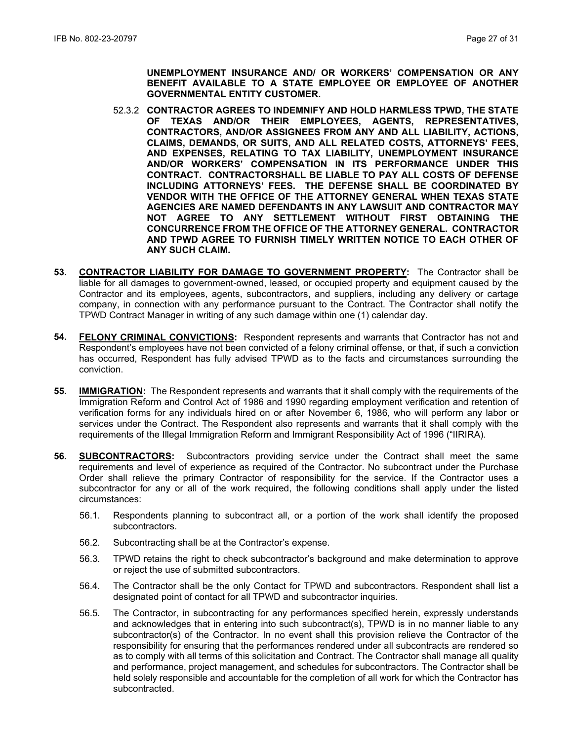**UNEMPLOYMENT INSURANCE AND/ OR WORKERS' COMPENSATION OR ANY BENEFIT AVAILABLE TO A STATE EMPLOYEE OR EMPLOYEE OF ANOTHER GOVERNMENTAL ENTITY CUSTOMER.**

- 52.3.2 **CONTRACTOR AGREES TO INDEMNIFY AND HOLD HARMLESS TPWD, THE STATE OF TEXAS AND/OR THEIR EMPLOYEES, AGENTS, REPRESENTATIVES, CONTRACTORS, AND/OR ASSIGNEES FROM ANY AND ALL LIABILITY, ACTIONS, CLAIMS, DEMANDS, OR SUITS, AND ALL RELATED COSTS, ATTORNEYS' FEES, AND EXPENSES, RELATING TO TAX LIABILITY, UNEMPLOYMENT INSURANCE AND/OR WORKERS' COMPENSATION IN ITS PERFORMANCE UNDER THIS CONTRACT. CONTRACTORSHALL BE LIABLE TO PAY ALL COSTS OF DEFENSE INCLUDING ATTORNEYS' FEES. THE DEFENSE SHALL BE COORDINATED BY VENDOR WITH THE OFFICE OF THE ATTORNEY GENERAL WHEN TEXAS STATE AGENCIES ARE NAMED DEFENDANTS IN ANY LAWSUIT AND CONTRACTOR MAY NOT AGREE TO ANY SETTLEMENT WITHOUT FIRST OBTAINING THE CONCURRENCE FROM THE OFFICE OF THE ATTORNEY GENERAL. CONTRACTOR AND TPWD AGREE TO FURNISH TIMELY WRITTEN NOTICE TO EACH OTHER OF ANY SUCH CLAIM.**
- **53. CONTRACTOR LIABILITY FOR DAMAGE TO GOVERNMENT PROPERTY:** The Contractor shall be liable for all damages to government-owned, leased, or occupied property and equipment caused by the Contractor and its employees, agents, subcontractors, and suppliers, including any delivery or cartage company, in connection with any performance pursuant to the Contract. The Contractor shall notify the TPWD Contract Manager in writing of any such damage within one (1) calendar day.
- **54. FELONY CRIMINAL CONVICTIONS:** Respondent represents and warrants that Contractor has not and Respondent's employees have not been convicted of a felony criminal offense, or that, if such a conviction has occurred, Respondent has fully advised TPWD as to the facts and circumstances surrounding the conviction.
- **55. IMMIGRATION:** The Respondent represents and warrants that it shall comply with the requirements of the Immigration Reform and Control Act of 1986 and 1990 regarding employment verification and retention of verification forms for any individuals hired on or after November 6, 1986, who will perform any labor or services under the Contract. The Respondent also represents and warrants that it shall comply with the requirements of the Illegal Immigration Reform and Immigrant Responsibility Act of 1996 ("IIRIRA).
- **56. SUBCONTRACTORS:** Subcontractors providing service under the Contract shall meet the same requirements and level of experience as required of the Contractor. No subcontract under the Purchase Order shall relieve the primary Contractor of responsibility for the service. If the Contractor uses a subcontractor for any or all of the work required, the following conditions shall apply under the listed circumstances:
	- 56.1. Respondents planning to subcontract all, or a portion of the work shall identify the proposed subcontractors.
	- 56.2. Subcontracting shall be at the Contractor's expense.
	- 56.3. TPWD retains the right to check subcontractor's background and make determination to approve or reject the use of submitted subcontractors.
	- 56.4. The Contractor shall be the only Contact for TPWD and subcontractors. Respondent shall list a designated point of contact for all TPWD and subcontractor inquiries.
	- 56.5. The Contractor, in subcontracting for any performances specified herein, expressly understands and acknowledges that in entering into such subcontract(s), TPWD is in no manner liable to any subcontractor(s) of the Contractor. In no event shall this provision relieve the Contractor of the responsibility for ensuring that the performances rendered under all subcontracts are rendered so as to comply with all terms of this solicitation and Contract. The Contractor shall manage all quality and performance, project management, and schedules for subcontractors. The Contractor shall be held solely responsible and accountable for the completion of all work for which the Contractor has subcontracted.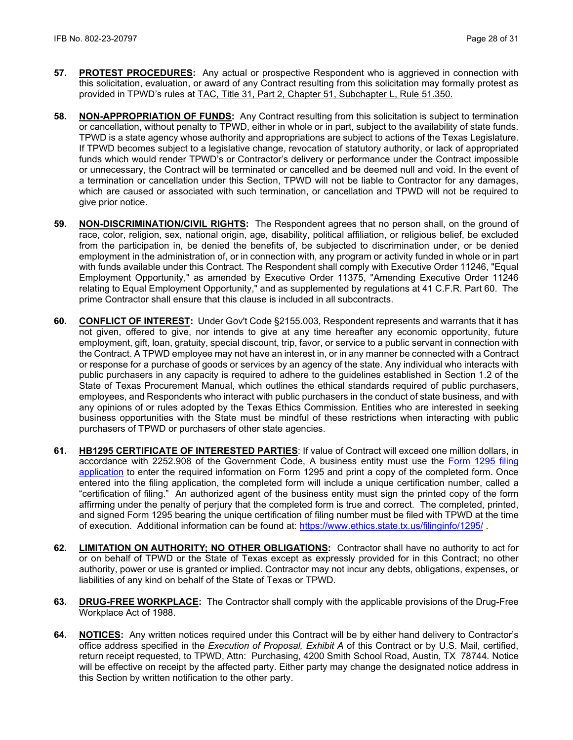- **57. PROTEST PROCEDURES:** Any actual or prospective Respondent who is aggrieved in connection with this solicitation, evaluation, or award of any Contract resulting from this solicitation may formally protest as provided in TPWD's rules at [TAC, Title 31, Part 2, Chapter 51, Subchapter L, Rule 51.350.](http://texreg.sos.state.tx.us/public/readtac$ext.TacPage?sl=R&app=9&p_dir=&p_rloc=&p_tloc=&p_ploc=&pg=1&p_tac=&ti=31&pt=2&ch=51&rl=350)
- **58. NON-APPROPRIATION OF FUNDS:** Any Contract resulting from this solicitation is subject to termination or cancellation, without penalty to TPWD, either in whole or in part, subject to the availability of state funds. TPWD is a state agency whose authority and appropriations are subject to actions of the Texas Legislature. If TPWD becomes subject to a legislative change, revocation of statutory authority, or lack of appropriated funds which would render TPWD's or Contractor's delivery or performance under the Contract impossible or unnecessary, the Contract will be terminated or cancelled and be deemed null and void. In the event of a termination or cancellation under this Section, TPWD will not be liable to Contractor for any damages, which are caused or associated with such termination, or cancellation and TPWD will not be required to give prior notice.
- **59. NON-DISCRIMINATION/CIVIL RIGHTS:** The Respondent agrees that no person shall, on the ground of race, color, religion, sex, national origin, age, disability, political affiliation, or religious belief, be excluded from the participation in, be denied the benefits of, be subjected to discrimination under, or be denied employment in the administration of, or in connection with, any program or activity funded in whole or in part with funds available under this Contract. The Respondent shall comply with Executive Order 11246, "Equal Employment Opportunity," as amended by Executive Order 11375, "Amending Executive Order 11246 relating to Equal Employment Opportunity," and as supplemented by regulations at 41 C.F.R. Part 60. The prime Contractor shall ensure that this clause is included in all subcontracts.
- **60. CONFLICT OF INTEREST:** Under Gov't Code §2155.003, Respondent represents and warrants that it has not given, offered to give, nor intends to give at any time hereafter any economic opportunity, future employment, gift, loan, gratuity, special discount, trip, favor, or service to a public servant in connection with the Contract. A TPWD employee may not have an interest in, or in any manner be connected with a Contract or response for a purchase of goods or services by an agency of the state. Any individual who interacts with public purchasers in any capacity is required to adhere to the guidelines established in Section 1.2 of the State of Texas Procurement Manual, which outlines the ethical standards required of public purchasers, employees, and Respondents who interact with public purchasers in the conduct of state business, and with any opinions of or rules adopted by the Texas Ethics Commission. Entities who are interested in seeking business opportunities with the State must be mindful of these restrictions when interacting with public purchasers of TPWD or purchasers of other state agencies.
- **61. HB1295 CERTIFICATE OF INTERESTED PARTIES**: If value of Contract will exceed one million dollars, in accordance with 2252.908 of the Government Code, A business entity must use the [Form 1295 filing](https://www.ethics.state.tx.us/whatsnew/elf_info_form1295.htm)  [application](https://www.ethics.state.tx.us/whatsnew/elf_info_form1295.htm) to enter the required information on Form 1295 and print a copy of the completed form. Once entered into the filing application, the completed form will include a unique certification number, called a "certification of filing." An authorized agent of the business entity must sign the printed copy of the form affirming under the penalty of perjury that the completed form is true and correct. The completed, printed, and signed Form 1295 bearing the unique certification of filing number must be filed with TPWD at the time of execution. Additional information can be found at:<https://www.ethics.state.tx.us/filinginfo/1295/> .
- **62. LIMITATION ON AUTHORITY; NO OTHER OBLIGATIONS:** Contractor shall have no authority to act for or on behalf of TPWD or the State of Texas except as expressly provided for in this Contract; no other authority, power or use is granted or implied. Contractor may not incur any debts, obligations, expenses, or liabilities of any kind on behalf of the State of Texas or TPWD.
- **63. DRUG-FREE WORKPLACE:** The Contractor shall comply with the applicable provisions of the Drug-Free Workplace Act of 1988.
- **64. NOTICES:** Any written notices required under this Contract will be by either hand delivery to Contractor's office address specified in the *Execution of Proposal, Exhibit A* of this Contract or by U.S. Mail, certified, return receipt requested, to TPWD, Attn: Purchasing, 4200 Smith School Road, Austin, TX 78744*.* Notice will be effective on receipt by the affected party. Either party may change the designated notice address in this Section by written notification to the other party.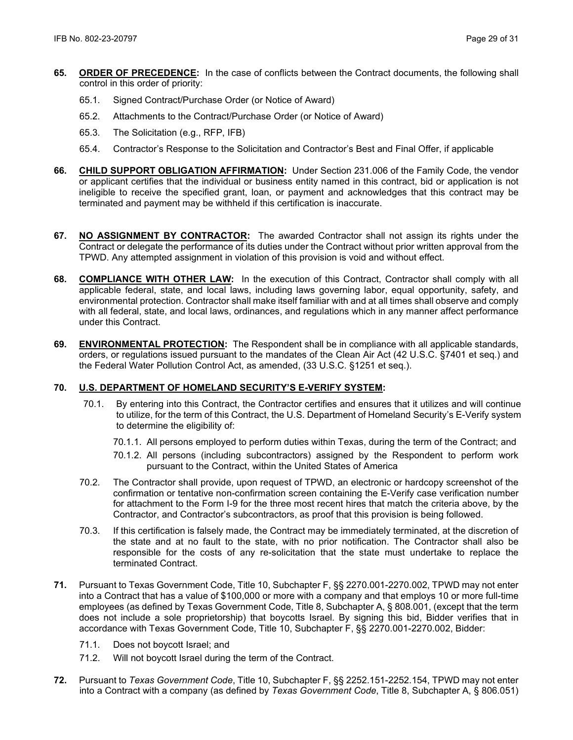- **65. ORDER OF PRECEDENCE:** In the case of conflicts between the Contract documents, the following shall control in this order of priority:
	- 65.1. Signed Contract/Purchase Order (or Notice of Award)
	- 65.2. Attachments to the Contract/Purchase Order (or Notice of Award)
	- 65.3. The Solicitation (e.g., RFP, IFB)
	- 65.4. Contractor's Response to the Solicitation and Contractor's Best and Final Offer, if applicable
- **66. CHILD SUPPORT OBLIGATION AFFIRMATION:** Under Section 231.006 of the Family Code, the vendor or applicant certifies that the individual or business entity named in this contract, bid or application is not ineligible to receive the specified grant, loan, or payment and acknowledges that this contract may be terminated and payment may be withheld if this certification is inaccurate.
- **67. NO ASSIGNMENT BY CONTRACTOR:** The awarded Contractor shall not assign its rights under the Contract or delegate the performance of its duties under the Contract without prior written approval from the TPWD. Any attempted assignment in violation of this provision is void and without effect.
- **68. COMPLIANCE WITH OTHER LAW:** In the execution of this Contract, Contractor shall comply with all applicable federal, state, and local laws, including laws governing labor, equal opportunity, safety, and environmental protection. Contractor shall make itself familiar with and at all times shall observe and comply with all federal, state, and local laws, ordinances, and regulations which in any manner affect performance under this Contract.
- **69. ENVIRONMENTAL PROTECTION:** The Respondent shall be in compliance with all applicable standards, orders, or regulations issued pursuant to the mandates of the Clean Air Act (42 U.S.C. §7401 et seq.) and the Federal Water Pollution Control Act, as amended, (33 U.S.C. §1251 et seq.).

## **70. U.S. DEPARTMENT OF HOMELAND SECURITY'S E-VERIFY SYSTEM:**

- 70.1. By entering into this Contract, the Contractor certifies and ensures that it utilizes and will continue to utilize, for the term of this Contract, the U.S. Department of Homeland Security's E-Verify system to determine the eligibility of:
	- 70.1.1. All persons employed to perform duties within Texas, during the term of the Contract; and
	- 70.1.2. All persons (including subcontractors) assigned by the Respondent to perform work pursuant to the Contract, within the United States of America
- 70.2. The Contractor shall provide, upon request of TPWD, an electronic or hardcopy screenshot of the confirmation or tentative non-confirmation screen containing the E-Verify case verification number for attachment to the Form I-9 for the three most recent hires that match the criteria above, by the Contractor, and Contractor's subcontractors, as proof that this provision is being followed.
- 70.3. If this certification is falsely made, the Contract may be immediately terminated, at the discretion of the state and at no fault to the state, with no prior notification. The Contractor shall also be responsible for the costs of any re-solicitation that the state must undertake to replace the terminated Contract.
- **71.** Pursuant to Texas Government Code, Title 10, Subchapter F, §§ 2270.001-2270.002, TPWD may not enter into a Contract that has a value of \$100,000 or more with a company and that employs 10 or more full-time employees (as defined by Texas Government Code, Title 8, Subchapter A, § 808.001, (except that the term does not include a sole proprietorship) that boycotts Israel. By signing this bid, Bidder verifies that in accordance with Texas Government Code, Title 10, Subchapter F, §§ 2270.001-2270.002, Bidder:
	- 71.1. Does not boycott Israel; and
	- 71.2. Will not boycott Israel during the term of the Contract.
- **72.** Pursuant to *Texas Government Code*, Title 10, Subchapter F, §§ 2252.151-2252.154, TPWD may not enter into a Contract with a company (as defined by *Texas Government Code*, Title 8, Subchapter A, § 806.051)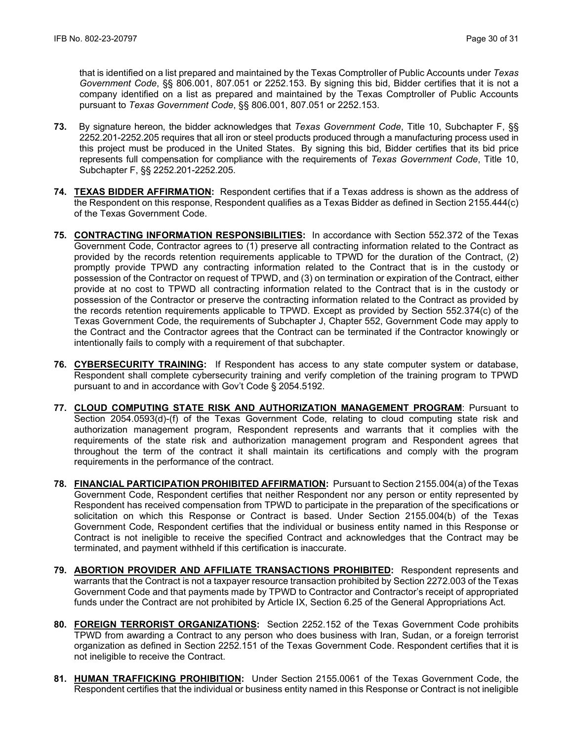that is identified on a list prepared and maintained by the Texas Comptroller of Public Accounts under *Texas Government Code*, §§ 806.001, 807.051 or 2252.153. By signing this bid, Bidder certifies that it is not a company identified on a list as prepared and maintained by the Texas Comptroller of Public Accounts pursuant to *Texas Government Code*, §§ 806.001, 807.051 or 2252.153.

- **73.** By signature hereon, the bidder acknowledges that *Texas Government Code*, Title 10, Subchapter F, §§ 2252.201-2252.205 requires that all iron or steel products produced through a manufacturing process used in this project must be produced in the United States. By signing this bid, Bidder certifies that its bid price represents full compensation for compliance with the requirements of *Texas Government Code*, Title 10, Subchapter F, §§ 2252.201-2252.205.
- **74. TEXAS BIDDER AFFIRMATION:** Respondent certifies that if a Texas address is shown as the address of the Respondent on this response, Respondent qualifies as a Texas Bidder as defined in Section 2155.444(c) of the Texas Government Code.
- **75. CONTRACTING INFORMATION RESPONSIBILITIES:** In accordance with Section 552.372 of the Texas Government Code, Contractor agrees to (1) preserve all contracting information related to the Contract as provided by the records retention requirements applicable to TPWD for the duration of the Contract, (2) promptly provide TPWD any contracting information related to the Contract that is in the custody or possession of the Contractor on request of TPWD, and (3) on termination or expiration of the Contract, either provide at no cost to TPWD all contracting information related to the Contract that is in the custody or possession of the Contractor or preserve the contracting information related to the Contract as provided by the records retention requirements applicable to TPWD. Except as provided by Section 552.374(c) of the Texas Government Code, the requirements of Subchapter J, Chapter 552, Government Code may apply to the Contract and the Contractor agrees that the Contract can be terminated if the Contractor knowingly or intentionally fails to comply with a requirement of that subchapter.
- **76. CYBERSECURITY TRAINING:** If Respondent has access to any state computer system or database, Respondent shall complete cybersecurity training and verify completion of the training program to TPWD pursuant to and in accordance with Gov't Code § 2054.5192.
- **77. CLOUD COMPUTING STATE RISK AND AUTHORIZATION MANAGEMENT PROGRAM**: Pursuant to Section 2054.0593(d)-(f) of the Texas Government Code, relating to cloud computing state risk and authorization management program, Respondent represents and warrants that it complies with the requirements of the state risk and authorization management program and Respondent agrees that throughout the term of the contract it shall maintain its certifications and comply with the program requirements in the performance of the contract.
- **78. FINANCIAL PARTICIPATION PROHIBITED AFFIRMATION:** Pursuant to Section 2155.004(a) of the Texas Government Code, Respondent certifies that neither Respondent nor any person or entity represented by Respondent has received compensation from TPWD to participate in the preparation of the specifications or solicitation on which this Response or Contract is based. Under Section 2155.004(b) of the Texas Government Code, Respondent certifies that the individual or business entity named in this Response or Contract is not ineligible to receive the specified Contract and acknowledges that the Contract may be terminated, and payment withheld if this certification is inaccurate.
- **79. ABORTION PROVIDER AND AFFILIATE TRANSACTIONS PROHIBITED:** Respondent represents and warrants that the Contract is not a taxpayer resource transaction prohibited by Section 2272.003 of the Texas Government Code and that payments made by TPWD to Contractor and Contractor's receipt of appropriated funds under the Contract are not prohibited by Article IX, Section 6.25 of the General Appropriations Act.
- **80. FOREIGN TERRORIST ORGANIZATIONS:** Section 2252.152 of the Texas Government Code prohibits TPWD from awarding a Contract to any person who does business with Iran, Sudan, or a foreign terrorist organization as defined in Section 2252.151 of the Texas Government Code. Respondent certifies that it is not ineligible to receive the Contract.
- **81. HUMAN TRAFFICKING PROHIBITION:** Under Section 2155.0061 of the Texas Government Code, the Respondent certifies that the individual or business entity named in this Response or Contract is not ineligible